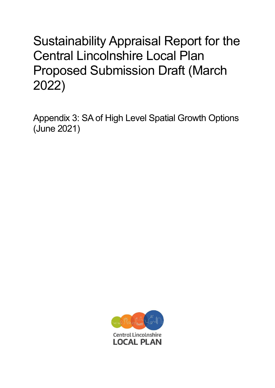## Sustainability Appraisal Report for the Central Lincolnshire Local Plan Proposed Submission Draft (March 2022)

Appendix 3: SA of High Level Spatial Growth Options (June 2021)

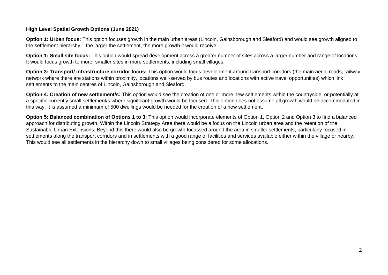## **High Level Spatial Growth Options (June 2021)**

**Option 1: Urban focus:** This option focuses growth in the main urban areas (Lincoln, Gainsborough and Sleaford) and would see growth aligned to the settlement hierarchy – the larger the settlement, the more growth it would receive.

**Option 1: Small site focus:** This option would spread development across a greater number of sites across a larger number and range of locations. It would focus growth to more, smaller sites in more settlements, including small villages.

**Option 3: Transport/ infrastructure corridor focus:** This option would focus development around transport corridors (the main aerial roads, railway network where there are stations within proximity, locations well-served by bus routes and locations with active travel opportunities) which link settlements to the main centres of Lincoln, Gainsborough and Sleaford.

**Option 4: Creation of new settlement/s:** This option would see the creation of one or more new settlements within the countryside, or potentially at a specific currently small settlement/s where significant growth would be focused. This option does not assume all growth would be accommodated in this way. It is assumed a minimum of 500 dwellings would be needed for the creation of a new settlement.

**Option 5: Balanced combination of Options 1 to 3:** This option would incorporate elements of Option 1, Option 2 and Option 3 to find a balanced approach for distributing growth. Within the Lincoln Strategy Area there would be a focus on the Lincoln urban area and the retention of the Sustainable Urban Extensions. Beyond this there would also be growth focussed around the area in smaller settlements, particularly focused in settlements along the transport corridors and in settlements with a good range of facilities and services available either within the village or nearby. This would see all settlements in the hierarchy down to small villages being considered for some allocations.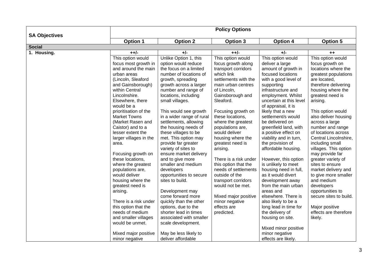|                      | <b>Policy Options</b>                 |                                            |                                          |                                         |                                    |  |  |
|----------------------|---------------------------------------|--------------------------------------------|------------------------------------------|-----------------------------------------|------------------------------------|--|--|
| <b>SA Objectives</b> | <b>Option 1</b>                       | <b>Option 2</b>                            | <b>Option 3</b>                          | <b>Option 4</b>                         | Option 5                           |  |  |
| <b>Social</b>        |                                       |                                            |                                          |                                         |                                    |  |  |
| 1. Housing.          | $+ +/-$                               | +/-                                        | $++/-$                                   | +/-                                     | $++$                               |  |  |
|                      | This option would                     | Unlike Option 1, this                      | This option would                        | This option would                       | This option would                  |  |  |
|                      | focus most growth in                  | option would reduce                        | focus growth along                       | deliver a large                         | focus growth on                    |  |  |
|                      | and around the main                   | the focus on a limited                     | transport corridors                      | amount of growth in                     | locations where the                |  |  |
|                      | urban areas                           | number of locations of                     | which link                               | focused locations                       | greatest populations               |  |  |
|                      | (Lincoln, Sleaford                    | growth, spreading                          | settlements with the                     | with a good level of                    | are located,                       |  |  |
|                      | and Gainsborough)                     | growth across a larger                     | main urban centres                       | supporting                              | therefore delivering               |  |  |
|                      | within Central                        | number and range of                        | of Lincoln,                              | infrastructure and                      | housing where the                  |  |  |
|                      | Lincolnshire.                         | locations, including                       | Gainsborough and                         | employment. Whilst                      | greatest need is                   |  |  |
|                      | Elsewhere, there                      | small villages.                            | Sleaford.                                | uncertain at this level                 | arising.                           |  |  |
|                      | would be a                            |                                            |                                          | of appraisal, it is                     |                                    |  |  |
|                      | prioritisation of the                 | This would see growth                      | Focusing growth on                       | likely that a new                       | This option would                  |  |  |
|                      | <b>Market Towns</b>                   | in a wider range of rural                  | these locations,                         | settlement/s would                      | also deliver housing               |  |  |
|                      | (Market Rasen and                     | settlements, allowing                      | where the greatest                       | be delivered on                         | across a large                     |  |  |
|                      | Caistor) and to a                     | the housing needs of                       | populations are,                         | greenfield land, with                   | number and range                   |  |  |
|                      | lesser extent the                     | these villages to be                       | would deliver                            | a positive effect on                    | of locations across                |  |  |
|                      | larger villages in the                | met. This option may                       | housing where the                        | viability and in turn,                  | Central Lincolnshire,              |  |  |
|                      | area.                                 | provide far greater                        | greatest need is                         | the provision of                        | including small                    |  |  |
|                      |                                       | variety of sites to                        | arising.                                 | affordable housing.                     | villages. This option              |  |  |
|                      | Focusing growth on                    | ensure market delivery                     |                                          |                                         | may provide far                    |  |  |
|                      | these locations,                      | and to give more                           | There is a risk under                    | However, this option                    | greater variety of                 |  |  |
|                      | where the greatest                    | smaller and medium                         | this option that the                     | is unlikely to meet                     | sites to ensure                    |  |  |
|                      | populations are,                      | developers                                 | needs of settlements                     | housing need in full,                   | market delivery and                |  |  |
|                      | would deliver                         | opportunities to secure<br>sites to build. | outside of the                           | as it would divert                      | to give more smaller<br>and medium |  |  |
|                      | housing where the<br>greatest need is |                                            | transport corridors<br>would not be met. | development away<br>from the main urban | developers                         |  |  |
|                      | arising.                              | Development may                            |                                          | areas and                               | opportunities to                   |  |  |
|                      |                                       | come forward more                          | Mixed major positive                     | elsewhere. There is                     | secure sites to build.             |  |  |
|                      | There is a risk under                 | quickly than the other                     | minor negative                           | also likely to be a                     |                                    |  |  |
|                      | this option that the                  | options, due to the                        | effects are                              | long lead in time for                   | Major positive                     |  |  |
|                      | needs of medium                       | shorter lead in times                      | predicted.                               | the delivery of                         | effects are therefore              |  |  |
|                      | and smaller villages                  | associated with smaller                    |                                          | housing on site.                        | likely.                            |  |  |
|                      | would be unmet.                       | scale development.                         |                                          |                                         |                                    |  |  |
|                      |                                       |                                            |                                          | Mixed minor positive                    |                                    |  |  |
|                      | Mixed major positive                  | May be less likely to                      |                                          | minor negative                          |                                    |  |  |
|                      | minor negative                        | deliver affordable                         |                                          | effects are likely.                     |                                    |  |  |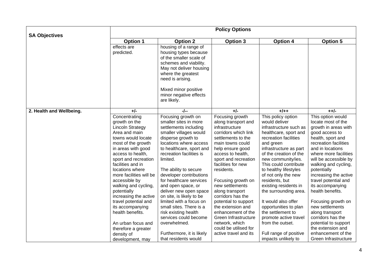|                          |                                                                                                                                                                                                                                                                                                                                               |                                                                                                                                                                                                                                                                                                                                                                               | <b>Policy Options</b>                                                                                                                                                                                                                                                                                            |                                                                                                                                                                                                                                                                                                                                                     |                                                                                                                                                                                                                                                                                                                                       |
|--------------------------|-----------------------------------------------------------------------------------------------------------------------------------------------------------------------------------------------------------------------------------------------------------------------------------------------------------------------------------------------|-------------------------------------------------------------------------------------------------------------------------------------------------------------------------------------------------------------------------------------------------------------------------------------------------------------------------------------------------------------------------------|------------------------------------------------------------------------------------------------------------------------------------------------------------------------------------------------------------------------------------------------------------------------------------------------------------------|-----------------------------------------------------------------------------------------------------------------------------------------------------------------------------------------------------------------------------------------------------------------------------------------------------------------------------------------------------|---------------------------------------------------------------------------------------------------------------------------------------------------------------------------------------------------------------------------------------------------------------------------------------------------------------------------------------|
| <b>SA Objectives</b>     | <b>Option 1</b>                                                                                                                                                                                                                                                                                                                               | <b>Option 2</b>                                                                                                                                                                                                                                                                                                                                                               | Option 3                                                                                                                                                                                                                                                                                                         | <b>Option 4</b>                                                                                                                                                                                                                                                                                                                                     | <b>Option 5</b>                                                                                                                                                                                                                                                                                                                       |
|                          | effects are<br>predicted.                                                                                                                                                                                                                                                                                                                     | housing of a range of<br>housing types because<br>of the smaller scale of<br>schemes and viability.<br>May not deliver housing<br>where the greatest<br>need is arising.                                                                                                                                                                                                      |                                                                                                                                                                                                                                                                                                                  |                                                                                                                                                                                                                                                                                                                                                     |                                                                                                                                                                                                                                                                                                                                       |
|                          |                                                                                                                                                                                                                                                                                                                                               | Mixed minor positive<br>minor negative effects<br>are likely.                                                                                                                                                                                                                                                                                                                 |                                                                                                                                                                                                                                                                                                                  |                                                                                                                                                                                                                                                                                                                                                     |                                                                                                                                                                                                                                                                                                                                       |
| 2. Health and Wellbeing. | $+/-$                                                                                                                                                                                                                                                                                                                                         | -/--                                                                                                                                                                                                                                                                                                                                                                          | $+/-$                                                                                                                                                                                                                                                                                                            | $+/++$                                                                                                                                                                                                                                                                                                                                              | $+ +/-$                                                                                                                                                                                                                                                                                                                               |
|                          | Concentrating<br>growth on the<br><b>Lincoln Strategy</b><br>Area and main<br>towns would locate<br>most of the growth<br>in areas with good<br>access to health,<br>sport and recreation<br>facilities and in<br>locations where<br>more facilities will be<br>accessible by<br>walking and cycling,<br>potentially<br>increasing the active | Focusing growth on<br>smaller sites in more<br>settlements including<br>smaller villages would<br>disperse growth to<br>locations where access<br>to healthcare, sport and<br>recreation facilities is<br>limited.<br>The ability to secure<br>developer contributions<br>for healthcare services<br>and open space, or<br>deliver new open space<br>on site, is likely to be | Focusing growth<br>along transport and<br>infrastructure<br>corridors which link<br>settlements to the<br>main towns could<br>help ensure good<br>access to health,<br>sport and recreation<br>facilities for new<br>residents.<br>Focusing growth on<br>new settlements<br>along transport<br>corridors has the | This policy option<br>would deliver<br>infrastructure such as<br>healthcare, sport and<br>recreation facilities<br>and green<br>infrastructure as part<br>of the creation of the<br>new community/ies.<br>This could contribute<br>to healthy lifestyles<br>of not only the new<br>residents, but<br>existing residents in<br>the surrounding area. | This option would<br>locate most of the<br>growth in areas with<br>good access to<br>health, sport and<br>recreation facilities<br>and in locations<br>where more facilities<br>will be accessible by<br>walking and cycling,<br>potentially<br>increasing the active<br>travel potential and<br>its accompanying<br>health benefits. |
|                          | travel potential and<br>its accompanying<br>health benefits.<br>An urban focus and<br>therefore a greater                                                                                                                                                                                                                                     | limited with a focus on<br>small sites. There is a<br>risk existing health<br>services could become<br>overwhelmed.                                                                                                                                                                                                                                                           | potential to support<br>the extension and<br>enhancement of the<br>Green Infrastructure<br>network, which<br>could be utilised for                                                                                                                                                                               | It would also offer<br>opportunities to plan<br>the settlement to<br>promote active travel<br>from the outset.                                                                                                                                                                                                                                      | Focusing growth on<br>new settlements<br>along transport<br>corridors has the<br>potential to support<br>the extension and                                                                                                                                                                                                            |
|                          | density of<br>development, may                                                                                                                                                                                                                                                                                                                | Furthermore, it is likely<br>that residents would                                                                                                                                                                                                                                                                                                                             | active travel and its                                                                                                                                                                                                                                                                                            | Full range of positive<br>impacts unlikely to                                                                                                                                                                                                                                                                                                       | enhancement of the<br>Green Infrastructure                                                                                                                                                                                                                                                                                            |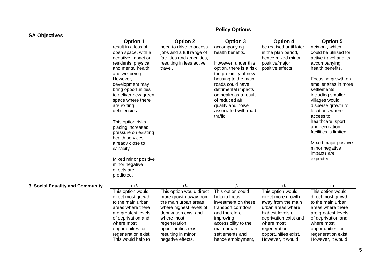| <b>SA Objectives</b>              |                                        |                                     | <b>Policy Options</b>                   |                                     |                                      |
|-----------------------------------|----------------------------------------|-------------------------------------|-----------------------------------------|-------------------------------------|--------------------------------------|
|                                   | <b>Option 1</b>                        | <b>Option 2</b>                     | Option 3                                | <b>Option 4</b>                     | <b>Option 5</b>                      |
|                                   | result in a loss of                    | need to drive to access             | accompanying                            | be realised until later             | network, which                       |
|                                   | open space, with a                     | jobs and a full range of            | health benefits.                        | in the plan period,                 | could be utilised for                |
|                                   | negative impact on                     | facilities and amenities,           |                                         | hence mixed minor                   | active travel and its                |
|                                   | residents' physical                    | resulting in less active            | However, under this                     | positive/major                      | accompanying                         |
|                                   | and mental health                      | travel.                             | option, there is a risk                 | positive effects.                   | health benefits.                     |
|                                   | and wellbeing.                         |                                     | the proximity of new                    |                                     |                                      |
|                                   | However,                               |                                     | housing to the main                     |                                     | Focusing growth on                   |
|                                   | development may<br>bring opportunities |                                     | roads could have<br>detrimental impacts |                                     | smaller sites in more<br>settlements |
|                                   | to deliver new green                   |                                     | on health as a result                   |                                     | including smaller                    |
|                                   | space where there                      |                                     | of reduced air                          |                                     | villages would                       |
|                                   | are exiting                            |                                     | quality and noise                       |                                     | disperse growth to                   |
|                                   | deficiencies.                          |                                     | associated with road                    |                                     | locations where                      |
|                                   |                                        |                                     | traffic.                                |                                     | access to                            |
|                                   | This option risks                      |                                     |                                         |                                     | healthcare, sport                    |
|                                   | placing increased                      |                                     |                                         |                                     | and recreation                       |
|                                   | pressure on existing                   |                                     |                                         |                                     | facilities is limited.               |
|                                   | health services                        |                                     |                                         |                                     |                                      |
|                                   | already close to                       |                                     |                                         |                                     | Mixed major positive                 |
|                                   | capacity.                              |                                     |                                         |                                     | minor negative                       |
|                                   |                                        |                                     |                                         |                                     | impacts are                          |
|                                   | Mixed minor positive<br>minor negative |                                     |                                         |                                     | expected.                            |
|                                   | effects are                            |                                     |                                         |                                     |                                      |
|                                   | predicted.                             |                                     |                                         |                                     |                                      |
|                                   |                                        |                                     |                                         |                                     |                                      |
| 3. Social Equality and Community. | $++/-$                                 | $+/-$                               | $+/-$                                   | $+/-$                               | $++$                                 |
|                                   | This option would                      | This option would direct            | This option could                       | This option would                   | This option would                    |
|                                   | direct most growth                     | more growth away from               | help to focus                           | direct more growth                  | direct most growth                   |
|                                   | to the main urban                      | the main urban areas                | investment on these                     | away from the main                  | to the main urban                    |
|                                   | areas where there                      | where highest levels of             | transport corridors                     | urban areas where                   | areas where there                    |
|                                   | are greatest levels                    | deprivation exist and<br>where most | and therefore                           | highest levels of                   | are greatest levels                  |
|                                   | of deprivation and<br>where most       | regeneration                        | improving<br>accessibility to the       | deprivation exist and<br>where most | of deprivation and<br>where most     |
|                                   | opportunities for                      | opportunities exist,                | main urban                              | regeneration                        | opportunities for                    |
|                                   | regeneration exist.                    | resulting in minor                  | settlements and                         | opportunities exist.                | regeneration exist.                  |
|                                   | This would help to                     | negative effects.                   | hence employment,                       | However, it would                   | However, it would                    |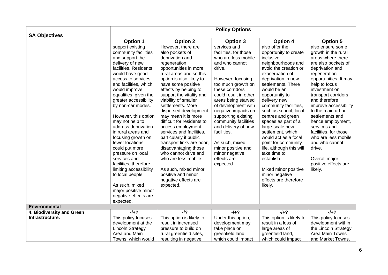|                                            |                         |                            | <b>Policy Options</b> |                          |                       |
|--------------------------------------------|-------------------------|----------------------------|-----------------------|--------------------------|-----------------------|
| <b>SA Objectives</b>                       |                         |                            |                       |                          |                       |
|                                            | <b>Option 1</b>         | <b>Option 2</b>            | Option 3              | <b>Option 4</b>          | <b>Option 5</b>       |
|                                            | support existing        | However, there are         | services and          | also offer the           | also ensure some      |
|                                            | community facilities    | also pockets of            | facilities, for those | opportunity to create    | growth in the rural   |
|                                            | and support the         | deprivation and            | who are less mobile   | inclusive                | areas where there     |
|                                            | delivery of new         | regeneration               | and who cannot        | neighbourhoods and       | are also pockets of   |
|                                            | facilities. Residents   | opportunities in more      | drive.                | avoid the creation or    | deprivation and       |
|                                            | would have good         | rural areas and so this    |                       | exacerbation of          | regeneration          |
|                                            | access to services      | option is also likely to   | However, focusing     | deprivation in new       | opportunities. It may |
|                                            | and facilities, which   | have some positive         | too much growth on    | settlements. There       | help to focus         |
|                                            | would improve           | effects by helping to      | these corridors       | would be an              | investment on         |
|                                            | equalities, given the   | support the vitality and   | could result in other | opportunity to           | transport corridors   |
|                                            | greater accessibility   | viability of smaller       | areas being starved   | delivery new             | and therefore         |
|                                            | by non-car modes.       | settlements. More          | of development with   | community facilities,    | improve accessibility |
|                                            |                         | dispersed development      | negative impacts on   | such as school, local    | to the main urban     |
|                                            | However, this option    | may mean it is more        | supporting existing   | centres and green        | settlements and       |
|                                            | may not help to         | difficult for residents to | community facilities  | spaces as part of a      | hence employment,     |
|                                            | address deprivation     | access employment,         | and delivery of new   | large-scale new          | services and          |
|                                            | in rural areas and      | services and facilities,   | facilities.           | settlement, which        | facilities, for those |
|                                            | focusing growth on      | particularly if public     |                       | would act as a focal     | who are less mobile   |
|                                            | fewer locations         | transport links are poor,  | As such, mixed        | point for community      | and who cannot        |
|                                            | could put more          | disadvantaging those       | minor positive and    | life, although this will | drive.                |
|                                            | pressure on local       | who cannot drive and       | minor negative        | take time to             |                       |
|                                            | services and            | who are less mobile.       | effects are           | establish.               | Overall major         |
|                                            | facilities, therefore   |                            | expected.             |                          | positive effects are  |
|                                            | limiting accessibility  | As such, mixed minor       |                       | Mixed minor positive     | likely.               |
|                                            | to local people.        | positive and minor         |                       | minor negative           |                       |
|                                            |                         | negative effects are       |                       | effects are therefore    |                       |
|                                            | As such, mixed          | expected.                  |                       | likely.                  |                       |
|                                            | major positive minor    |                            |                       |                          |                       |
|                                            | negative effects are    |                            |                       |                          |                       |
|                                            |                         |                            |                       |                          |                       |
|                                            | expected.               |                            |                       |                          |                       |
| Environmental<br>4. Biodiversity and Green | $-1+2$                  | $-I$ ?                     | $-1+2$                | $-1+2$                   | $-1+?$                |
| Infrastructure.                            |                         |                            |                       |                          |                       |
|                                            | This policy focuses     | This option is likely to   | Under this option,    | This option is likely to | This policy focuses   |
|                                            | development at the      | result in increased        | development may       | result in a loss of      | development within    |
|                                            | <b>Lincoln Strategy</b> | pressure to build on       | take place on         | large areas of           | the Lincoln Strategy  |
|                                            | Area and Main           | rural greenfield sites,    | greenfield land,      | greenfield land,         | Area Main Towns       |
|                                            | Towns, which would      | resulting in negative      | which could impact    | which could impact       | and Market Towns.     |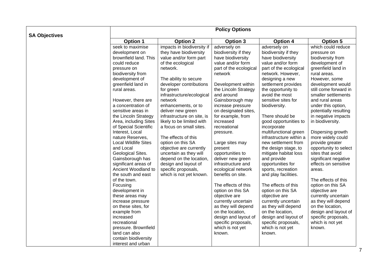| <b>SA Objectives</b> |                                          |                                                 | <b>Policy Options</b>                   |                                            |                                              |
|----------------------|------------------------------------------|-------------------------------------------------|-----------------------------------------|--------------------------------------------|----------------------------------------------|
|                      | Option 1                                 | <b>Option 2</b>                                 | Option 3                                | <b>Option 4</b>                            | <b>Option 5</b>                              |
|                      | seek to maximise                         | impacts in biodiversity if                      | adversely on                            | adversely on                               | which could reduce                           |
|                      | development on                           | they have biodiversity                          | biodiversity if they                    | biodiversity if they                       | pressure on                                  |
|                      | brownfield land. This                    | value and/or form part                          | have biodiversity                       | have biodiversity                          | biodiversity from                            |
|                      | could reduce                             | of the ecological                               | value and/or form                       | value and/or form                          | development of                               |
|                      | pressure on                              | network.                                        | part of the ecological                  | part of the ecological                     | greenfield land in                           |
|                      | biodiversity from                        |                                                 | network                                 | network. However,                          | rural areas.                                 |
|                      | development of                           | The ability to secure                           |                                         | designing a new                            | However, some                                |
|                      | greenfield land in                       | developer contributions                         | Development within                      | settlement provides                        | development would                            |
|                      | rural areas.                             | for green                                       | the Lincoln Strategy                    | the opportunity to                         | still come forward in                        |
|                      |                                          | infrastructure/ecological                       | and around                              | avoid the most                             | smaller settlements                          |
|                      | However, there are                       | network                                         | Gainsborough may                        | sensitive sites for                        | and rural areas                              |
|                      | a concentration of                       | enhancements, or to                             | increase pressure                       | biodiversity.                              | under this option,                           |
|                      | sensitive areas in                       | deliver new green                               | on designated sites,                    |                                            | potentially resulting                        |
|                      | the Lincoln Strategy                     | infrastructure on site, is                      | for example, from                       | There should be                            | in negative impacts                          |
|                      | Area, including Sites                    | likely to be limited with                       | increased                               | good opportunities to                      | in biodiversity.                             |
|                      | of Special Scientific                    | a focus on small sites.                         | recreational                            | incorporate                                |                                              |
|                      | Interest, Local                          |                                                 | pressure.                               | multifunctional green                      | Dispersing growth                            |
|                      | nature Reserves,                         | The effects of this                             |                                         | infrastructure within a                    | more widely could                            |
|                      | <b>Local Wildlife Sites</b>              | option on this SA                               | Large sites may                         | new settlement from                        | provide greater                              |
|                      | and Local                                | objective are currently                         | present                                 | the design stage, to                       | opportunity to select                        |
|                      | Geological Sites.                        | uncertain as they will                          | opportunities to                        | mitigate habitat loss                      | sites that avoid                             |
|                      | Gainsborough has<br>significant areas of | depend on the location,<br>design and layout of | deliver new green<br>infrastructure and | and provide                                | significant negative<br>effects on sensitive |
|                      | Ancient Woodland to                      | specific proposals,                             | ecological network                      | opportunities for                          |                                              |
|                      | the south and east                       | which is not yet known.                         | benefits on site.                       | sports, recreation<br>and play facilities. | areas.                                       |
|                      | of the town.                             |                                                 |                                         |                                            | The effects of this                          |
|                      | Focusing                                 |                                                 | The effects of this                     | The effects of this                        | option on this SA                            |
|                      | development in                           |                                                 | option on this SA                       | option on this SA                          | objective are                                |
|                      | these areas may                          |                                                 | objective are                           | objective are                              | currently uncertain                          |
|                      | increase pressure                        |                                                 | currently uncertain                     | currently uncertain                        | as they will depend                          |
|                      | on these sites, for                      |                                                 | as they will depend                     | as they will depend                        | on the location,                             |
|                      | example from                             |                                                 | on the location,                        | on the location,                           | design and layout of                         |
|                      | increased                                |                                                 | design and layout of                    | design and layout of                       | specific proposals,                          |
|                      | recreational                             |                                                 | specific proposals,                     | specific proposals,                        | which is not yet                             |
|                      | pressure. Brownfield                     |                                                 | which is not yet                        | which is not yet                           | known.                                       |
|                      | land can also                            |                                                 | known.                                  | known.                                     |                                              |
|                      | contain biodiversity                     |                                                 |                                         |                                            |                                              |
|                      | interest and urban                       |                                                 |                                         |                                            |                                              |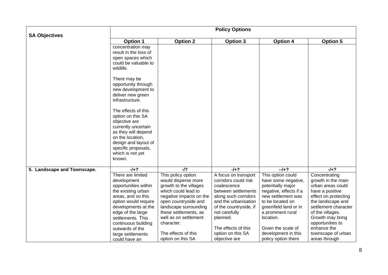|                             |                                                                                                                                                                                                                      |                                                                                                                                                                                                                                        | <b>Policy Options</b>                                                                                                                                                                     |                                                                                                                                                                                              |                                                                                                                                                                                                              |
|-----------------------------|----------------------------------------------------------------------------------------------------------------------------------------------------------------------------------------------------------------------|----------------------------------------------------------------------------------------------------------------------------------------------------------------------------------------------------------------------------------------|-------------------------------------------------------------------------------------------------------------------------------------------------------------------------------------------|----------------------------------------------------------------------------------------------------------------------------------------------------------------------------------------------|--------------------------------------------------------------------------------------------------------------------------------------------------------------------------------------------------------------|
| <b>SA Objectives</b>        | <b>Option 1</b>                                                                                                                                                                                                      | <b>Option 2</b>                                                                                                                                                                                                                        | <b>Option 3</b>                                                                                                                                                                           | <b>Option 4</b>                                                                                                                                                                              | <b>Option 5</b>                                                                                                                                                                                              |
|                             | concentration may<br>result in the loss of<br>open spaces which<br>could be valuable to<br>wildlife.                                                                                                                 |                                                                                                                                                                                                                                        |                                                                                                                                                                                           |                                                                                                                                                                                              |                                                                                                                                                                                                              |
|                             | There may be<br>opportunity through<br>new development to<br>deliver new green<br>infrastructure.                                                                                                                    |                                                                                                                                                                                                                                        |                                                                                                                                                                                           |                                                                                                                                                                                              |                                                                                                                                                                                                              |
|                             | The effects of this<br>option on this SA<br>objective are<br>currently uncertain<br>as they will depend<br>on the location,<br>design and layout of<br>specific proposals,                                           |                                                                                                                                                                                                                                        |                                                                                                                                                                                           |                                                                                                                                                                                              |                                                                                                                                                                                                              |
|                             | which is not yet<br>known.                                                                                                                                                                                           |                                                                                                                                                                                                                                        |                                                                                                                                                                                           |                                                                                                                                                                                              |                                                                                                                                                                                                              |
| 5. Landscape and Townscape. | $-1+?$                                                                                                                                                                                                               | $-I$ ?                                                                                                                                                                                                                                 | $-1+2$                                                                                                                                                                                    | $-1+?$                                                                                                                                                                                       | $-1+2$                                                                                                                                                                                                       |
|                             | There are limited<br>development<br>opportunities within<br>the existing urban<br>areas, and so this<br>option would require<br>developments at the<br>edge of the large<br>settlements. This<br>continuous building | This policy option<br>would disperse more<br>growth to the villages<br>which could lead to<br>negative impacts on the<br>open countryside and<br>landscape surrounding<br>these settlements, as<br>well as on settlement<br>character. | A focus on transport<br>corridors could risk<br>coalescence<br>between settlements<br>along such corridors<br>and the urbanisation<br>of the countryside, if<br>not carefully<br>planned. | This option could<br>have some negative,<br>potentially major<br>negative, effects if a<br>new settlement was<br>to be located on<br>greenfield land or in<br>a prominent rural<br>location. | Concentrating<br>growth in the main<br>urban areas could<br>have a positive<br>effect on protecting<br>the landscape and<br>settlement character<br>of the villages.<br>Growth may bring<br>opportunities to |
|                             | outwards of the<br>large settlements<br>could have an                                                                                                                                                                | The effects of this<br>option on this SA                                                                                                                                                                                               | The effects of this<br>option on this SA<br>objective are                                                                                                                                 | Given the scale of<br>development in this<br>policy option there                                                                                                                             | enhance the<br>townscape of urban<br>areas through                                                                                                                                                           |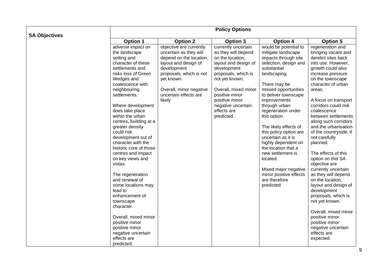|                      |                                                                                                                                                                                                                                                                                                                                                                                                                                                                                                                                                                                                                                             |                                                                                                                                                                                                                            | <b>Policy Options</b>                                                                                                                                                                                                                                         |                                                                                                                                                                                                                                                                                                                                                                                                                                                                                                            |                                                                                                                                                                                                                                                                                                                                                                                                                                                                                                                                                                                                                                                                                                 |
|----------------------|---------------------------------------------------------------------------------------------------------------------------------------------------------------------------------------------------------------------------------------------------------------------------------------------------------------------------------------------------------------------------------------------------------------------------------------------------------------------------------------------------------------------------------------------------------------------------------------------------------------------------------------------|----------------------------------------------------------------------------------------------------------------------------------------------------------------------------------------------------------------------------|---------------------------------------------------------------------------------------------------------------------------------------------------------------------------------------------------------------------------------------------------------------|------------------------------------------------------------------------------------------------------------------------------------------------------------------------------------------------------------------------------------------------------------------------------------------------------------------------------------------------------------------------------------------------------------------------------------------------------------------------------------------------------------|-------------------------------------------------------------------------------------------------------------------------------------------------------------------------------------------------------------------------------------------------------------------------------------------------------------------------------------------------------------------------------------------------------------------------------------------------------------------------------------------------------------------------------------------------------------------------------------------------------------------------------------------------------------------------------------------------|
|                      | <b>Option 1</b>                                                                                                                                                                                                                                                                                                                                                                                                                                                                                                                                                                                                                             | <b>Option 2</b>                                                                                                                                                                                                            | <b>Option 3</b>                                                                                                                                                                                                                                               | <b>Option 4</b>                                                                                                                                                                                                                                                                                                                                                                                                                                                                                            | <b>Option 5</b>                                                                                                                                                                                                                                                                                                                                                                                                                                                                                                                                                                                                                                                                                 |
| <b>SA Objectives</b> | adverse impact on<br>the landscape<br>setting and<br>character of these<br>settlements and<br>risks loss of Green<br>Wedges and<br>coalescence with<br>neighbouring<br>settlements.<br>Where development<br>does take place<br>within the urban<br>centres, building at a<br>greater density<br>could risk<br>development out of<br>character with the<br>historic core of those<br>centres and impact<br>on key views and<br>vistas.<br>The regeneration<br>and renewal of<br>some locations may<br>lead to<br>enhancement of<br>townscape<br>character.<br>Overall, mixed minor<br>positive minor<br>positive minor<br>negative uncertain | objective are currently<br>uncertain as they will<br>depend on the location,<br>layout and design of<br>development<br>proposals, which is not<br>yet known.<br>Overall, minor negative<br>uncertain effects are<br>likely | currently uncertain<br>as they will depend<br>on the location,<br>layout and design of<br>development<br>proposals, which is<br>not yet known.<br>Overall, mixed minor<br>positive minor<br>positive minor<br>negative uncertain<br>effects are<br>predicted. | would be potential to<br>mitigate landscape<br>impacts through site<br>selection, design and<br>substantial<br>landscaping.<br>There may be<br>missed opportunities<br>to deliver townscape<br>improvements<br>through urban<br>regeneration under<br>this option.<br>The likely effects of<br>this policy option are<br>uncertain as it is<br>highly dependent on<br>the location that a<br>new settlement is<br>located.<br>Mixed major negative<br>minor positive effects<br>are therefore<br>predicted | regeneration and<br>bringing vacant and<br>derelict sites back<br>into use. However,<br>growth could also<br>increase pressure<br>on the townscape<br>character of urban<br>areas.<br>A focus on transport<br>corridors could risk<br>coalescence<br>between settlements<br>along such corridors<br>and the urbanisation<br>of the countryside, if<br>not carefully<br>planned.<br>The effects of this<br>option on this SA<br>objective are<br>currently uncertain<br>as they will depend<br>on the location,<br>layout and design of<br>development<br>proposals, which is<br>not yet known.<br>Overall, mixed minor<br>positive minor<br>positive minor<br>negative uncertain<br>effects are |
|                      | effects are<br>predicted.                                                                                                                                                                                                                                                                                                                                                                                                                                                                                                                                                                                                                   |                                                                                                                                                                                                                            |                                                                                                                                                                                                                                                               |                                                                                                                                                                                                                                                                                                                                                                                                                                                                                                            | expected.                                                                                                                                                                                                                                                                                                                                                                                                                                                                                                                                                                                                                                                                                       |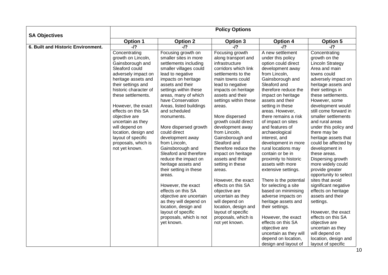| <b>SA Objectives</b>               | <b>Policy Options</b>                                                                                                                                                                                                                                                                                                                                                                   |                                                                                                                                                                                                                                                                                                                                                                                                                                                                                                                                                                                                                                                                                                      |                                                                                                                                                                                                                                                                                                                                                                                                                                                                                                                                                                                                                                           |                                                                                                                                                                                                                                                                                                                                                                                                                                                                                                                                                                                                                                                                                                                                                                         |                                                                                                                                                                                                                                                                                                                                                                                                                                                                                                                                                                                                                                                                                                                                                                    |  |  |
|------------------------------------|-----------------------------------------------------------------------------------------------------------------------------------------------------------------------------------------------------------------------------------------------------------------------------------------------------------------------------------------------------------------------------------------|------------------------------------------------------------------------------------------------------------------------------------------------------------------------------------------------------------------------------------------------------------------------------------------------------------------------------------------------------------------------------------------------------------------------------------------------------------------------------------------------------------------------------------------------------------------------------------------------------------------------------------------------------------------------------------------------------|-------------------------------------------------------------------------------------------------------------------------------------------------------------------------------------------------------------------------------------------------------------------------------------------------------------------------------------------------------------------------------------------------------------------------------------------------------------------------------------------------------------------------------------------------------------------------------------------------------------------------------------------|-------------------------------------------------------------------------------------------------------------------------------------------------------------------------------------------------------------------------------------------------------------------------------------------------------------------------------------------------------------------------------------------------------------------------------------------------------------------------------------------------------------------------------------------------------------------------------------------------------------------------------------------------------------------------------------------------------------------------------------------------------------------------|--------------------------------------------------------------------------------------------------------------------------------------------------------------------------------------------------------------------------------------------------------------------------------------------------------------------------------------------------------------------------------------------------------------------------------------------------------------------------------------------------------------------------------------------------------------------------------------------------------------------------------------------------------------------------------------------------------------------------------------------------------------------|--|--|
|                                    | Option 1                                                                                                                                                                                                                                                                                                                                                                                | <b>Option 2</b>                                                                                                                                                                                                                                                                                                                                                                                                                                                                                                                                                                                                                                                                                      | <b>Option 3</b>                                                                                                                                                                                                                                                                                                                                                                                                                                                                                                                                                                                                                           | <b>Option 4</b>                                                                                                                                                                                                                                                                                                                                                                                                                                                                                                                                                                                                                                                                                                                                                         | <b>Option 5</b>                                                                                                                                                                                                                                                                                                                                                                                                                                                                                                                                                                                                                                                                                                                                                    |  |  |
| 6. Built and Historic Environment. | $-I$ ?                                                                                                                                                                                                                                                                                                                                                                                  | $-I$ ?                                                                                                                                                                                                                                                                                                                                                                                                                                                                                                                                                                                                                                                                                               | $-I$ ?                                                                                                                                                                                                                                                                                                                                                                                                                                                                                                                                                                                                                                    | $-I$ ?                                                                                                                                                                                                                                                                                                                                                                                                                                                                                                                                                                                                                                                                                                                                                                  | $-I$ ?                                                                                                                                                                                                                                                                                                                                                                                                                                                                                                                                                                                                                                                                                                                                                             |  |  |
|                                    | Concentrating<br>growth on Lincoln,<br>Gainsborough and<br>Sleaford could<br>adversely impact on<br>heritage assets and<br>their settings and<br>historic character of<br>these settlements.<br>However, the exact<br>effects on this SA<br>objective are<br>uncertain as they<br>will depend on<br>location, design and<br>layout of specific<br>proposals, which is<br>not yet known. | Focusing growth on<br>smaller sites in more<br>settlements including<br>smaller villages could<br>lead to negative<br>impacts on heritage<br>assets and their<br>settings within these<br>areas, many of which<br>have Conservation<br>Areas, listed buildings<br>and scheduled<br>monuments.<br>More dispersed growth<br>could direct<br>development away<br>from Lincoln,<br>Gainsborough and<br>Sleaford and therefore<br>reduce the impact on<br>heritage assets and<br>their setting in these<br>areas.<br>However, the exact<br>effects on this SA<br>objective are uncertain<br>as they will depend on<br>location, design and<br>layout of specific<br>proposals, which is not<br>yet known. | Focusing growth<br>along transport and<br>infrastructure<br>corridors which link<br>settlements to the<br>main towns could<br>lead to negative<br>impacts on heritage<br>assets and their<br>settings within these<br>areas.<br>More dispersed<br>growth could direct<br>development away<br>from Lincoln,<br>Gainsborough and<br>Sleaford and<br>therefore reduce the<br>impact on heritage<br>assets and their<br>setting in these<br>areas.<br>However, the exact<br>effects on this SA<br>objective are<br>uncertain as they<br>will depend on<br>location, design and<br>layout of specific<br>proposals, which is<br>not yet known. | A new settlement<br>under this policy<br>option could direct<br>development away<br>from Lincoln,<br>Gainsborough and<br>Sleaford and<br>therefore reduce the<br>impact on heritage<br>assets and their<br>setting in these<br>areas. However,<br>there remains a risk<br>of impact on sites<br>and features of<br>archaeological<br>interest, and<br>development in more<br>rural locations may<br>contain or be in<br>proximity to historic<br>assets with more<br>extensive settings.<br>There is the potential<br>for selecting a site<br>based on minimising<br>adverse impacts on<br>heritage assets and<br>their settings.<br>However, the exact<br>effects on this SA<br>objective are<br>uncertain as they will<br>depend on location,<br>design and layout of | Concentrating<br>growth on the<br><b>Lincoln Strategy</b><br>Area and main<br>towns could<br>adversely impact on<br>heritage assets and<br>their settings in<br>these settlements.<br>However, some<br>development would<br>still come forward in<br>smaller settlements<br>and rural areas<br>under this policy and<br>there may be<br>heritage assets that<br>could be affected by<br>development in<br>these areas.<br>Dispersing growth<br>more widely could<br>provide greater<br>opportunity to select<br>sites that avoid<br>significant negative<br>effects on heritage<br>assets and their<br>settings.<br>However, the exact<br>effects on this SA<br>objective are<br>uncertain as they<br>will depend on<br>location, design and<br>layout of specific |  |  |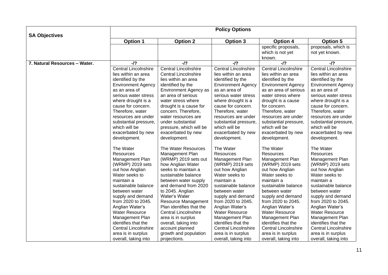|                               | <b>Policy Options</b>                                                                                                                                                                                                                                                                                                                                           |                                                                                                                                                                                                                                                                                                                                                                                                                    |                                                                                                                                                                                                                                                                                                                                                                               |                                                                                                                                                                                                                                                                                                                                                                               |                                                                                                                                                                                                                                                                                                                                                                               |  |
|-------------------------------|-----------------------------------------------------------------------------------------------------------------------------------------------------------------------------------------------------------------------------------------------------------------------------------------------------------------------------------------------------------------|--------------------------------------------------------------------------------------------------------------------------------------------------------------------------------------------------------------------------------------------------------------------------------------------------------------------------------------------------------------------------------------------------------------------|-------------------------------------------------------------------------------------------------------------------------------------------------------------------------------------------------------------------------------------------------------------------------------------------------------------------------------------------------------------------------------|-------------------------------------------------------------------------------------------------------------------------------------------------------------------------------------------------------------------------------------------------------------------------------------------------------------------------------------------------------------------------------|-------------------------------------------------------------------------------------------------------------------------------------------------------------------------------------------------------------------------------------------------------------------------------------------------------------------------------------------------------------------------------|--|
| <b>SA Objectives</b>          | <b>Option 1</b>                                                                                                                                                                                                                                                                                                                                                 | <b>Option 2</b>                                                                                                                                                                                                                                                                                                                                                                                                    | <b>Option 3</b>                                                                                                                                                                                                                                                                                                                                                               | <b>Option 4</b>                                                                                                                                                                                                                                                                                                                                                               | <b>Option 5</b>                                                                                                                                                                                                                                                                                                                                                               |  |
|                               |                                                                                                                                                                                                                                                                                                                                                                 |                                                                                                                                                                                                                                                                                                                                                                                                                    |                                                                                                                                                                                                                                                                                                                                                                               | specific proposals,<br>which is not yet<br>known.                                                                                                                                                                                                                                                                                                                             | proposals, which is<br>not yet known.                                                                                                                                                                                                                                                                                                                                         |  |
| 7. Natural Resources - Water. | $-I$ ?                                                                                                                                                                                                                                                                                                                                                          | $-I$ ?                                                                                                                                                                                                                                                                                                                                                                                                             | $-I$ ?                                                                                                                                                                                                                                                                                                                                                                        | $-I$ ?                                                                                                                                                                                                                                                                                                                                                                        | -/?                                                                                                                                                                                                                                                                                                                                                                           |  |
|                               | <b>Central Lincolnshire</b><br>lies within an area<br>identified by the<br><b>Environment Agency</b><br>as an area of<br>serious water stress<br>where drought is a<br>cause for concern.<br>Therefore, water<br>resources are under<br>substantial pressure,<br>which will be<br>exacerbated by new<br>development.                                            | <b>Central Lincolnshire</b><br><b>Central Lincolnshire</b><br>lies within an area<br>identified by the<br>Environment Agency as<br>an area of serious<br>water stress where<br>drought is a cause for<br>concern. Therefore,<br>water resources are<br>under substantial<br>pressure, which will be<br>exacerbated by new<br>development.                                                                          | Central Lincolnshire<br>lies within an area<br>identified by the<br><b>Environment Agency</b><br>as an area of<br>serious water stress<br>where drought is a<br>cause for concern.<br>Therefore, water<br>resources are under<br>substantial pressure,<br>which will be<br>exacerbated by new<br>development.                                                                 | <b>Central Lincolnshire</b><br>lies within an area<br>identified by the<br><b>Environment Agency</b><br>as an area of serious<br>water stress where<br>drought is a cause<br>for concern.<br>Therefore, water<br>resources are under<br>substantial pressure,<br>which will be<br>exacerbated by new<br>development.                                                          | <b>Central Lincolnshire</b><br>lies within an area<br>identified by the<br><b>Environment Agency</b><br>as an area of<br>serious water stress<br>where drought is a<br>cause for concern.<br>Therefore, water<br>resources are under<br>substantial pressure,<br>which will be<br>exacerbated by new<br>development.                                                          |  |
|                               | The Water<br>Resources<br>Management Plan<br>(WRMP) 2019 sets<br>out how Anglian<br>Water seeks to<br>maintain a<br>sustainable balance<br>between water<br>supply and demand<br>from 2020 to 2045.<br>Anglian Water's<br>Water Resource<br>Management Plan<br>identifies that the<br><b>Central Lincolnshire</b><br>area is in surplus<br>overall, taking into | The Water Resources<br>Management Plan<br>(WRMP) 2019 sets out<br>how Anglian Water<br>seeks to maintain a<br>sustainable balance<br>between water supply<br>and demand from 2020<br>to 2045. Anglian<br>Water's Water<br>Resource Management<br>Plan identifies that the<br><b>Central Lincolnshire</b><br>area is in surplus<br>overall, taking into<br>account planned<br>growth and population<br>projections. | The Water<br><b>Resources</b><br>Management Plan<br>(WRMP) 2019 sets<br>out how Anglian<br>Water seeks to<br>maintain a<br>sustainable balance<br>between water<br>supply and demand<br>from 2020 to 2045.<br>Anglian Water's<br><b>Water Resource</b><br>Management Plan<br>identifies that the<br><b>Central Lincolnshire</b><br>area is in surplus<br>overall, taking into | The Water<br><b>Resources</b><br>Management Plan<br>(WRMP) 2019 sets<br>out how Anglian<br>Water seeks to<br>maintain a<br>sustainable balance<br>between water<br>supply and demand<br>from 2020 to 2045.<br>Anglian Water's<br><b>Water Resource</b><br>Management Plan<br>identifies that the<br><b>Central Lincolnshire</b><br>area is in surplus<br>overall, taking into | The Water<br><b>Resources</b><br>Management Plan<br>(WRMP) 2019 sets<br>out how Anglian<br>Water seeks to<br>maintain a<br>sustainable balance<br>between water<br>supply and demand<br>from 2020 to 2045.<br>Anglian Water's<br><b>Water Resource</b><br>Management Plan<br>identifies that the<br><b>Central Lincolnshire</b><br>area is in surplus<br>overall, taking into |  |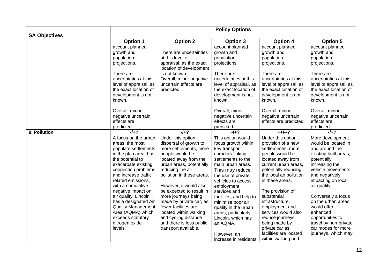|                      |                           |                                                    | <b>Policy Options</b>   |                         |                        |
|----------------------|---------------------------|----------------------------------------------------|-------------------------|-------------------------|------------------------|
| <b>SA Objectives</b> | <b>Option 1</b>           | <b>Option 2</b>                                    | Option 3                | <b>Option 4</b>         | <b>Option 5</b>        |
|                      |                           |                                                    |                         |                         |                        |
|                      | account planned           |                                                    | account planned         | account planned         | account planned        |
|                      | growth and                | There are uncertainties                            | growth and              | growth and              | growth and             |
|                      | population                | at this level of                                   | population              | population              | population             |
|                      | projections.              | appraisal, as the exact<br>location of development | projections.            | projections.            | projections.           |
|                      | There are                 | is not known.                                      | There are               | There are               | There are              |
|                      | uncertainties at this     | Overall, minor negative                            | uncertainties at this   | uncertainties at this   | uncertainties at this  |
|                      | level of appraisal, as    | uncertain effects are                              | level of appraisal, as  | level of appraisal, as  | level of appraisal, as |
|                      | the exact location of     | predicted.                                         | the exact location of   | the exact location of   | the exact location of  |
|                      | development is not        |                                                    | development is not      | development is not      | development is not     |
|                      | known.                    |                                                    | known.                  | known.                  | known.                 |
|                      | Overall, minor            |                                                    | Overall, minor          | Overall, minor          | Overall, minor         |
|                      | negative uncertain        |                                                    | negative uncertain      | negative uncertain      | negative uncertain     |
|                      | effects are               |                                                    | effects are             | effects are predicted.  | effects are            |
|                      | predicted.                |                                                    | predicted.              |                         | predicted.             |
| 8. Pollution         | $-1+2$                    | $-1+2$                                             | $-1+?$                  | $++/-?$                 | $-1+?$                 |
|                      | A focus on the urban      | Under this option,                                 | This option would       | Under this option,      | More development       |
|                      | areas, the most           | dispersal of growth to                             | focus growth within     | provision of a new      | would be located in    |
|                      | populate settlements      | more settlements, more                             | key transport           | settlement/s, more      | and around the         |
|                      | in the plan area, has     | people would be                                    | corridors linking       | people would be         | existing built areas,  |
|                      | the potential to          | located away from the                              | settlements to the      | located away from       | potentially            |
|                      | exacerbate existing       | urban areas, potentially                           | main urban areas.       | current urban areas,    | increasing the         |
|                      | congestion problems       | reducing the air                                   | This may reduce         | potentially reducing    | vehicle movements      |
|                      | and increase traffic      | pollution in these areas.                          | the use of private      | the local air pollution | and negatively         |
|                      | related emissions,        |                                                    | vehicles to access      | in these areas.         | impacting on local     |
|                      | with a cumulative         | However, it would also                             | employment,             |                         | air quality.           |
|                      | negative impact on        | be expected to result in                           | services and            | The provision of        |                        |
|                      | air quality. Lincoln      | more journeys being                                | facilities, and help to | substantial             | Conversely a focus     |
|                      | has a designated Air      | made by private car, as                            | minimise poor air       | infrastructure,         | on the urban areas     |
|                      | <b>Quality Management</b> | fewer facilities are                               | quality in the urban    | employment and          | would offer            |
|                      | Area (AQMA) which         | located within walking                             | areas, particularly     | services would also     | enhanced               |
|                      | exceeds statutory         | and cycling distance                               | Lincoln, which has      | reduce journeys         | opportunities to       |
|                      | nitrogen oxide            | and there is less public                           | an AQMA.                | being made by           | travel by non-private  |
|                      | levels.                   | transport available.                               |                         | private car as          | car modes for more     |
|                      |                           |                                                    | However, an             | facilities are located  | journeys, which may    |
|                      |                           |                                                    | increase in residents   | within walking and      |                        |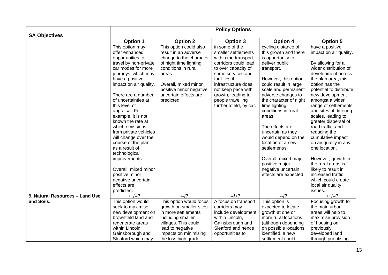|                                 |                                                                                                                                                                                                                                                                                                                                                                                                                                                                                                                   |                                                                                                                                                                                                                                | <b>Policy Options</b>                                                                                                                                                                                                                                                 |                                                                                                                                                                                                                                                                                                                                                                                                                                                                           |                                                                                                                                                                                                                                                                                                                                                                                                                                                                                                                                            |
|---------------------------------|-------------------------------------------------------------------------------------------------------------------------------------------------------------------------------------------------------------------------------------------------------------------------------------------------------------------------------------------------------------------------------------------------------------------------------------------------------------------------------------------------------------------|--------------------------------------------------------------------------------------------------------------------------------------------------------------------------------------------------------------------------------|-----------------------------------------------------------------------------------------------------------------------------------------------------------------------------------------------------------------------------------------------------------------------|---------------------------------------------------------------------------------------------------------------------------------------------------------------------------------------------------------------------------------------------------------------------------------------------------------------------------------------------------------------------------------------------------------------------------------------------------------------------------|--------------------------------------------------------------------------------------------------------------------------------------------------------------------------------------------------------------------------------------------------------------------------------------------------------------------------------------------------------------------------------------------------------------------------------------------------------------------------------------------------------------------------------------------|
| <b>SA Objectives</b>            | <b>Option 1</b>                                                                                                                                                                                                                                                                                                                                                                                                                                                                                                   | <b>Option 2</b>                                                                                                                                                                                                                | Option 3                                                                                                                                                                                                                                                              | <b>Option 4</b>                                                                                                                                                                                                                                                                                                                                                                                                                                                           | <b>Option 5</b>                                                                                                                                                                                                                                                                                                                                                                                                                                                                                                                            |
|                                 | This option may<br>offer enhanced<br>opportunities to<br>travel by non-private<br>car modes for more<br>journeys, which may<br>have a positive<br>impact on air quality.<br>There are a number<br>of uncertainties at<br>this level of<br>appraisal. For<br>example, it is not<br>known the rate at<br>which emissions<br>from private vehicles<br>will change over the<br>course of the plan<br>as a result of<br>technological<br>improvements.<br>Overall, mixed minor<br>positive minor<br>negative uncertain | This option could also<br>result in an adverse<br>change to the character<br>of night time lighting<br>conditions in rural<br>areas.<br>Overall, mixed minor<br>positive minor negative<br>uncertain effects are<br>predicted. | in some of the<br>smaller settlements<br>within the transport<br>corridors could lead<br>to over capacity of<br>some services and<br>facilities if<br>infrastructure does<br>not keep pace with<br>growth, leading to<br>people travelling<br>further afield, by car. | cycling distance of<br>this growth and there<br>is opportunity to<br>deliver public<br>transport.<br>However, this option<br>could result in large<br>scale and permanent<br>adverse changes to<br>the character of night<br>time lighting<br>conditions in rural<br>areas.<br>The effects are<br>uncertain as they<br>would depend on the<br>location of a new<br>settlement/s.<br>Overall, mixed major<br>positive major<br>negative uncertain<br>effects are expected. | have a positive<br>impact on air quality.<br>By allowing for a<br>wider distribution of<br>development across<br>the plan area, this<br>option has the<br>potential to distribute<br>new development<br>amongst a wider<br>range of settlements<br>and sites of differing<br>scales, leading to<br>greater dispersal of<br>road traffic, and<br>reducing the<br>cumulative impact<br>on air quality in any<br>one location.<br>However, growth in<br>the rural areas is<br>likely to result in<br>increased traffic,<br>which could create |
|                                 | effects are<br>predicted.                                                                                                                                                                                                                                                                                                                                                                                                                                                                                         |                                                                                                                                                                                                                                |                                                                                                                                                                                                                                                                       |                                                                                                                                                                                                                                                                                                                                                                                                                                                                           | local air quality<br>issues.                                                                                                                                                                                                                                                                                                                                                                                                                                                                                                               |
| 9. Natural Resources - Land Use | $++/-?$                                                                                                                                                                                                                                                                                                                                                                                                                                                                                                           | $-12$                                                                                                                                                                                                                          | $-1+?$                                                                                                                                                                                                                                                                | $-12$                                                                                                                                                                                                                                                                                                                                                                                                                                                                     | $++/-?$                                                                                                                                                                                                                                                                                                                                                                                                                                                                                                                                    |
| and Soils.                      | This option would<br>seek to maximise<br>new development on<br>brownfield land and<br>regenerate areas<br>within Lincoln,                                                                                                                                                                                                                                                                                                                                                                                         | This option would focus<br>growth on smaller sites<br>in more settlements<br>including smaller<br>villages. This could<br>lead to negative                                                                                     | A focus on transport<br>corridors may<br>include development<br>within Lincoln,<br>Gainsborough and<br>Sleaford and hence                                                                                                                                             | This option is<br>expected to locate<br>growth at one or<br>more rural locations,<br>(although depending<br>on possible locations                                                                                                                                                                                                                                                                                                                                         | Focusing growth to<br>the main urban<br>areas will help to<br>maximise provision<br>of housing on<br>previously                                                                                                                                                                                                                                                                                                                                                                                                                            |
|                                 | Gainsborough and<br>Sleaford which may                                                                                                                                                                                                                                                                                                                                                                                                                                                                            | impacts on minimising<br>the loss high grade                                                                                                                                                                                   | opportunities to                                                                                                                                                                                                                                                      | identified, a new<br>settlement could                                                                                                                                                                                                                                                                                                                                                                                                                                     | developed land<br>through prioritising                                                                                                                                                                                                                                                                                                                                                                                                                                                                                                     |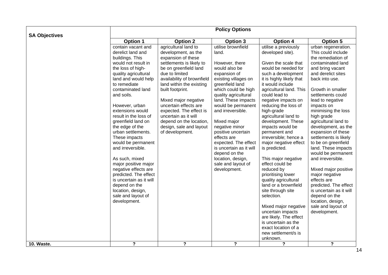| <b>SA Objectives</b> |                                                                                                                                                                                                                                                                                                                                                                                                                                                                                                                                                                                                      |                                                                                                                                                                                                                                                                                                                                                                                                     | <b>Policy Options</b>                                                                                                                                                                                                                                                                                                                                                                                                                           |                                                                                                                                                                                                                                                                                                                                                                                                                                                                                                                                                                                                                                                                                                                                           |                                                                                                                                                                                                                                                                                                                                                                                                                                                                                                                                                                                                                                                   |
|----------------------|------------------------------------------------------------------------------------------------------------------------------------------------------------------------------------------------------------------------------------------------------------------------------------------------------------------------------------------------------------------------------------------------------------------------------------------------------------------------------------------------------------------------------------------------------------------------------------------------------|-----------------------------------------------------------------------------------------------------------------------------------------------------------------------------------------------------------------------------------------------------------------------------------------------------------------------------------------------------------------------------------------------------|-------------------------------------------------------------------------------------------------------------------------------------------------------------------------------------------------------------------------------------------------------------------------------------------------------------------------------------------------------------------------------------------------------------------------------------------------|-------------------------------------------------------------------------------------------------------------------------------------------------------------------------------------------------------------------------------------------------------------------------------------------------------------------------------------------------------------------------------------------------------------------------------------------------------------------------------------------------------------------------------------------------------------------------------------------------------------------------------------------------------------------------------------------------------------------------------------------|---------------------------------------------------------------------------------------------------------------------------------------------------------------------------------------------------------------------------------------------------------------------------------------------------------------------------------------------------------------------------------------------------------------------------------------------------------------------------------------------------------------------------------------------------------------------------------------------------------------------------------------------------|
|                      | <b>Option 1</b>                                                                                                                                                                                                                                                                                                                                                                                                                                                                                                                                                                                      | <b>Option 2</b>                                                                                                                                                                                                                                                                                                                                                                                     | <b>Option 3</b>                                                                                                                                                                                                                                                                                                                                                                                                                                 | <b>Option 4</b>                                                                                                                                                                                                                                                                                                                                                                                                                                                                                                                                                                                                                                                                                                                           | <b>Option 5</b>                                                                                                                                                                                                                                                                                                                                                                                                                                                                                                                                                                                                                                   |
|                      | contain vacant and<br>derelict land and<br>buildings. This<br>would not result in<br>the loss of high-<br>quality agricultural<br>land and would help<br>to remediate<br>contaminated land<br>and soils.<br>However, urban<br>extensions would<br>result in the loss of<br>greenfield land on<br>the edge of the<br>urban settlements.<br>These impacts<br>would be permanent<br>and irreversible.<br>As such, mixed<br>major positive major<br>negative effects are<br>predicted. The effect<br>is uncertain as it will<br>depend on the<br>location, design,<br>sale and layout of<br>development. | agricultural land to<br>development, as the<br>expansion of these<br>settlements is likely to<br>be on greenfield land<br>due to limited<br>availability of brownfield<br>land within the existing<br>built footprint.<br>Mixed major negative<br>uncertain effects are<br>expected. The effect is<br>uncertain as it will<br>depend on the location,<br>design, sale and layout<br>of development. | utilise brownfield<br>land.<br>However, there<br>would also be<br>expansion of<br>existing villages on<br>greenfield land<br>which could be high<br>quality agricultural<br>land. These impacts<br>would be permanent<br>and irreversible.<br>Mixed major<br>negative minor<br>positive uncertain<br>effects are<br>expected. The effect<br>is uncertain as it will<br>depend on the<br>location, design,<br>sale and layout of<br>development. | utilise a previously<br>developed site).<br>Given the scale that<br>would be needed for<br>such a development<br>it is highly likely that<br>it would include<br>agricultural land. This<br>could lead to<br>negative impacts on<br>reducing the loss of<br>high-grade<br>agricultural land to<br>development. These<br>impacts would be<br>permanent and<br>irreversible; hence a<br>major negative effect<br>is predicted.<br>This major negative<br>effect could be<br>reduced by<br>prioritising lower<br>quality agricultural<br>land or a brownfield<br>site through site<br>selection.<br>Mixed major negative<br>uncertain impacts<br>are likely. The effect<br>is uncertain as the<br>exact location of a<br>new settlement/s is | urban regeneration.<br>This could include<br>the remediation of<br>contaminated land<br>and bring vacant<br>and derelict sites<br>back into use.<br>Growth in smaller<br>settlements could<br>lead to negative<br>impacts on<br>minimising the loss<br>high grade<br>agricultural land to<br>development, as the<br>expansion of these<br>settlements is likely<br>to be on greenfield<br>land. These impacts<br>would be permanent<br>and irreversible.<br>Mixed major positive<br>major negative<br>effects are<br>predicted. The effect<br>is uncertain as it will<br>depend on the<br>location, design,<br>sale and layout of<br>development. |
| 10. Waste.           | ?                                                                                                                                                                                                                                                                                                                                                                                                                                                                                                                                                                                                    | $\overline{?}$                                                                                                                                                                                                                                                                                                                                                                                      | $\overline{?}$                                                                                                                                                                                                                                                                                                                                                                                                                                  | unknown.<br>$\boldsymbol{\mathsf{?}}$                                                                                                                                                                                                                                                                                                                                                                                                                                                                                                                                                                                                                                                                                                     | $\overline{?}$                                                                                                                                                                                                                                                                                                                                                                                                                                                                                                                                                                                                                                    |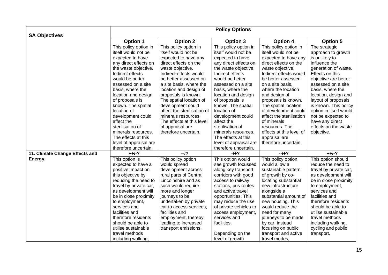|                                | <b>Policy Options</b>  |                             |                        |                          |                        |  |
|--------------------------------|------------------------|-----------------------------|------------------------|--------------------------|------------------------|--|
| <b>SA Objectives</b>           |                        |                             |                        |                          |                        |  |
|                                | <b>Option 1</b>        | <b>Option 2</b>             | Option 3               | <b>Option 4</b>          | <b>Option 5</b>        |  |
|                                | This policy option in  | This policy option in       | This policy option in  | This policy option in    | The strategic          |  |
|                                | itself would not be    | itself would not be         | itself would not be    | itself would not be      | approach to growth     |  |
|                                | expected to have       | expected to have any        | expected to have       | expected to have any     | is unlikely to         |  |
|                                | any direct effects on  | direct effects on the       | any direct effects on  | direct effects on the    | influence the          |  |
|                                | the waste objective.   | waste objective.            | the waste objective.   | waste objective.         | generation of waste.   |  |
|                                | Indirect effects       | Indirect effects would      | Indirect effects       | Indirect effects would   | Effects on this        |  |
|                                | would be better        | be better assessed on       | would be better        | be better assessed       | objective are better   |  |
|                                | assessed on a site     | a site basis, where the     | assessed on a site     | on a site basis.         | assessed on a site     |  |
|                                | basis, where the       | location and design of      | basis, where the       | where the location       | basis, where the       |  |
|                                | location and design    | proposals is known.         | location and design    | and design of            | location, design and   |  |
|                                | of proposals is        | The spatial location of     | of proposals is        | proposals is known.      | layout of proposals    |  |
|                                | known. The spatial     | development could           | known. The spatial     | The spatial location     | is known. This policy  |  |
|                                | location of            | affect the sterilisation of | location of            | of development could     | option in itself would |  |
|                                | development could      | minerals resources.         | development could      | affect the sterilisation | not be expected to     |  |
|                                | affect the             | The effects at this level   | affect the             | of minerals              | have any direct        |  |
|                                | sterilisation of       | of appraisal are            | sterilisation of       | resources. The           | effects on the waste   |  |
|                                | minerals resources.    | therefore uncertain.        | minerals resources.    | effects at this level of | objective.             |  |
|                                | The effects at this    |                             | The effects at this    | appraisal are            |                        |  |
|                                | level of appraisal are |                             | level of appraisal are | therefore uncertain.     |                        |  |
|                                | therefore uncertain.   |                             | therefore uncertain.   |                          |                        |  |
| 11. Climate Change Effects and | $++/-?$                | $-12$                       | $-1+?$                 | $-1+?$                   | $++/-?$                |  |
| Energy.                        | This option is         | This policy option          | This option would      | This policy option       | This option should     |  |
|                                | expected to have a     | would spread                | see growth focussed    | would allow a            | reduce the need to     |  |
|                                | positive impact on     | development across          | along key transport    | sustainable pattern      | travel by private car, |  |
|                                | this objective by      | rural parts of Central      | corridors with good    | of growth by co-         | as development will    |  |
|                                | reducing the need to   | Lincolnshire and as         | access to railway      | locating substantial     | be in close proximity  |  |
|                                | travel by private car, | such would require          | stations, bus routes   | new infrastructure       | to employment,         |  |
|                                | as development will    | more and longer             | and active travel      | alongside a              | services and           |  |
|                                | be in close proximity  | journeys to be              | opportunities. This    | substantial amount of    | facilities and         |  |
|                                | to employment,         | undertaken by private       | may reduce the use     | new housing. This        | therefore residents    |  |
|                                | services and           | car to access services,     | of private vehicles to | would reduce the         | should be able to      |  |
|                                | facilities and         | facilities and              | access employment,     | need for many            | utilise sustainable    |  |
|                                | therefore residents    | employment, thereby         | services and           | journeys to be made      | travel methods         |  |
|                                | should be able to      | leading to increased        | facilities.            | by car, instead          | including walking,     |  |
|                                | utilise sustainable    | transport emissions.        |                        | focusing on public       | cycling and public     |  |
|                                | travel methods         |                             | Depending on the       | transport and active     | transport.             |  |
|                                | including walking,     |                             | level of growth        | travel modes,            |                        |  |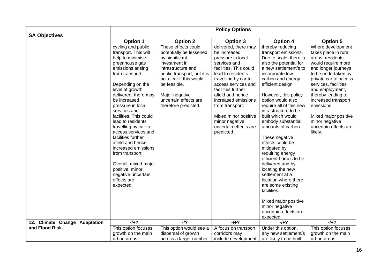|                               | <b>Policy Options</b>                                                                                                                                                                                                                                                                                                                                                                                                                                                                                                       |                                                                                                                                                                                                                                                      |                                                                                                                                                                                                                                                                                                                                              |                                                                                                                                                                                                                                                                                                                                                                                                                                                                                                                                                                                                                                                               |                                                                                                                                                                                                                                                                                                                                                |  |
|-------------------------------|-----------------------------------------------------------------------------------------------------------------------------------------------------------------------------------------------------------------------------------------------------------------------------------------------------------------------------------------------------------------------------------------------------------------------------------------------------------------------------------------------------------------------------|------------------------------------------------------------------------------------------------------------------------------------------------------------------------------------------------------------------------------------------------------|----------------------------------------------------------------------------------------------------------------------------------------------------------------------------------------------------------------------------------------------------------------------------------------------------------------------------------------------|---------------------------------------------------------------------------------------------------------------------------------------------------------------------------------------------------------------------------------------------------------------------------------------------------------------------------------------------------------------------------------------------------------------------------------------------------------------------------------------------------------------------------------------------------------------------------------------------------------------------------------------------------------------|------------------------------------------------------------------------------------------------------------------------------------------------------------------------------------------------------------------------------------------------------------------------------------------------------------------------------------------------|--|
| <b>SA Objectives</b>          | <b>Option 1</b>                                                                                                                                                                                                                                                                                                                                                                                                                                                                                                             | <b>Option 2</b>                                                                                                                                                                                                                                      | <b>Option 3</b>                                                                                                                                                                                                                                                                                                                              | <b>Option 4</b>                                                                                                                                                                                                                                                                                                                                                                                                                                                                                                                                                                                                                                               | <b>Option 5</b>                                                                                                                                                                                                                                                                                                                                |  |
|                               | cycling and public<br>transport. This will<br>help to minimise<br>greenhouse gas<br>emissions arising<br>from transport.<br>Depending on the<br>level of growth<br>delivered, there may<br>be increased<br>pressure in local<br>services and<br>facilities. This could<br>lead to residents<br>travelling by car to<br>access services and<br>facilities further<br>afield and hence<br>increased emissions<br>from transport.<br>Overall, mixed major<br>positive, minor<br>negative uncertain<br>effects are<br>expected. | These effects could<br>potentially be lessened<br>by significant<br>investment in<br>infrastructure and<br>public transport, but it is<br>not clear if this would<br>be feasible.<br>Major negative<br>uncertain effects are<br>therefore predicted. | delivered, there may<br>be increased<br>pressure in local<br>services and<br>facilities. This could<br>lead to residents<br>travelling by car to<br>access services and<br>facilities further<br>afield and hence<br>increased emissions<br>from transport.<br>Mixed minor positive<br>minor negative<br>uncertain effects are<br>predicted. | thereby reducing<br>transport emissions.<br>Due to scale, there is<br>also the potential for<br>a new settlement/s to<br>incorporate low<br>carbon and energy<br>efficient design.<br>However, this policy<br>option would also<br>require all of this new<br>infrastructure to be<br>built which would<br>embody substantial<br>amounts of carbon.<br>These negative<br>effects could be<br>mitigated by<br>requiring energy<br>efficient homes to be<br>delivered and by<br>locating the new<br>settlement at a<br>location where there<br>are some existing<br>facilities.<br>Mixed major positive<br>minor negative<br>uncertain effects are<br>expected. | Where development<br>takes place in rural<br>areas, residents<br>would require more<br>and longer journeys<br>to be undertaken by<br>private car to access<br>services, facilities<br>and employment,<br>thereby leading to<br>increased transport<br>emissions.<br>Mixed major positive<br>minor negative<br>uncertain effects are<br>likely. |  |
| 12. Climate Change Adaptation | $-1+?$                                                                                                                                                                                                                                                                                                                                                                                                                                                                                                                      | $-12$                                                                                                                                                                                                                                                | $-1+?$                                                                                                                                                                                                                                                                                                                                       | $-1+?$                                                                                                                                                                                                                                                                                                                                                                                                                                                                                                                                                                                                                                                        | $-1+?$                                                                                                                                                                                                                                                                                                                                         |  |
| and Flood Risk.               | This option focuses                                                                                                                                                                                                                                                                                                                                                                                                                                                                                                         | This option would see a                                                                                                                                                                                                                              | A focus on transport                                                                                                                                                                                                                                                                                                                         | Under this option,                                                                                                                                                                                                                                                                                                                                                                                                                                                                                                                                                                                                                                            | This option focuses                                                                                                                                                                                                                                                                                                                            |  |
|                               | growth on the main                                                                                                                                                                                                                                                                                                                                                                                                                                                                                                          | dispersal of growth                                                                                                                                                                                                                                  | corridors may                                                                                                                                                                                                                                                                                                                                | any new settlement/s                                                                                                                                                                                                                                                                                                                                                                                                                                                                                                                                                                                                                                          | growth on the main                                                                                                                                                                                                                                                                                                                             |  |
|                               | urban areas                                                                                                                                                                                                                                                                                                                                                                                                                                                                                                                 | across a larger number                                                                                                                                                                                                                               | include development                                                                                                                                                                                                                                                                                                                          | are likely to be built                                                                                                                                                                                                                                                                                                                                                                                                                                                                                                                                                                                                                                        | urban areas                                                                                                                                                                                                                                                                                                                                    |  |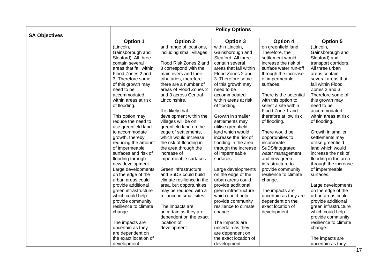|                      | <b>Policy Options</b>                 |                                                   |                                       |                                           |                                         |  |  |
|----------------------|---------------------------------------|---------------------------------------------------|---------------------------------------|-------------------------------------------|-----------------------------------------|--|--|
| <b>SA Objectives</b> | <b>Option 1</b>                       | <b>Option 2</b>                                   | <b>Option 3</b>                       | <b>Option 4</b>                           | <b>Option 5</b>                         |  |  |
|                      | $\overline{(\text{Lincoln})}$         | and range of locations,                           | within Lincoln,                       | on greenfield land.                       | (Lincoln,                               |  |  |
|                      | Gainsborough and                      | including small villages.                         | Gainsborough and                      | Therefore, the                            | Gainsborough and                        |  |  |
|                      | Sleaford). All three                  |                                                   | Sleaford. All three                   | settlement would                          | Sleaford) and                           |  |  |
|                      | contain several                       | Flood Risk Zones 2 and                            | contain several                       | increase the risk of                      | transport corridors.                    |  |  |
|                      | areas that fall within                | 3 correspond with the                             | areas that fall within                | surface water run-off                     | All three urban                         |  |  |
|                      | Flood Zones 2 and                     | main rivers and their                             | Flood Zones 2 and                     | through the increase                      | areas contain                           |  |  |
|                      | 3. Therefore some                     | tributaries, therefore                            | 3. Therefore some                     | of impermeable                            | several areas that                      |  |  |
|                      | of this growth may                    | there are a number of                             | of this growth may                    | surfaces.                                 | fall within Flood                       |  |  |
|                      | need to be                            | areas of Flood Zones 2                            | need to be                            |                                           | Zones 2 and 3.                          |  |  |
|                      | accommodated                          | and 3 across Central                              | accommodated                          | There is the potential                    | Therefore some of                       |  |  |
|                      | within areas at risk                  | Lincolnshire.                                     | within areas at risk                  | with this option to                       | this growth may                         |  |  |
|                      | of flooding.                          |                                                   | of flooding.                          | select a site within                      | need to be                              |  |  |
|                      |                                       | It is likely that                                 |                                       | Flood Zone 1 and                          | accommodated                            |  |  |
|                      | This option may                       | development within the                            | Growth in smaller                     | therefore at low risk                     | within areas at risk                    |  |  |
|                      | reduce the need to                    | villages will be on                               | settlements may                       | of flooding.                              | of flooding.                            |  |  |
|                      | use greenfield land                   | greenfield land on the                            | utilise greenfield                    |                                           |                                         |  |  |
|                      | to accommodate                        | edge of settlements,                              | land which would                      | There would be                            | Growth in smaller                       |  |  |
|                      | growth, thereby                       | which would increase                              | increase the risk of                  | opportunities to                          | settlements may                         |  |  |
|                      | reducing the amount                   | the risk of flooding in                           | flooding in the area                  | incorporate                               | utilise greenfield                      |  |  |
|                      | of impermeable                        | the area through the                              | through the increase                  | SuDS/integrated                           | land which would                        |  |  |
|                      | surfaces and risk of                  | increase of                                       | of impermeable                        | water management                          | increase the risk of                    |  |  |
|                      | flooding through                      | impermeable surfaces.                             | surfaces.                             | and new green                             | flooding in the area                    |  |  |
|                      | new development.                      |                                                   |                                       | infrastructure to                         | through the increase                    |  |  |
|                      | Large developments                    | Green infrastructure                              | Large developments                    | provide community                         | of impermeable                          |  |  |
|                      | on the edge of the                    | and SuDS could build                              | on the edge of the                    | resilience to climate                     | surfaces.                               |  |  |
|                      | urban areas could                     | climate resilience in the                         | urban areas could                     | change.                                   |                                         |  |  |
|                      | provide additional                    | area, but opportunities                           | provide additional                    |                                           | Large developments                      |  |  |
|                      | green infrastructure                  | may be reduced with a<br>reliance in small sites. | green infrastructure                  | The impacts are                           | on the edge of the<br>urban areas could |  |  |
|                      | which could help<br>provide community |                                                   | which could help<br>provide community | uncertain as they are<br>dependent on the | provide additional                      |  |  |
|                      | resilience to climate                 | The impacts are                                   | resilience to climate                 | exact location of                         | green infrastructure                    |  |  |
|                      | change.                               | uncertain as they are                             | change.                               | development.                              | which could help                        |  |  |
|                      |                                       | dependent on the exact                            |                                       |                                           | provide community                       |  |  |
|                      | The impacts are                       | location of                                       | The impacts are                       |                                           | resilience to climate                   |  |  |
|                      | uncertain as they                     | development.                                      | uncertain as they                     |                                           | change.                                 |  |  |
|                      | are dependent on                      |                                                   | are dependent on                      |                                           |                                         |  |  |
|                      | the exact location of                 |                                                   | the exact location of                 |                                           | The impacts are                         |  |  |
|                      | development.                          |                                                   | development.                          |                                           | uncertain as they                       |  |  |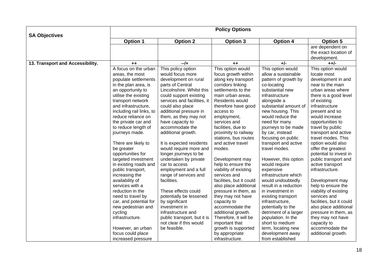|                                  | <b>Policy Options</b>    |                             |                          |                       |                          |  |  |
|----------------------------------|--------------------------|-----------------------------|--------------------------|-----------------------|--------------------------|--|--|
| <b>SA Objectives</b>             | <b>Option 1</b>          | <b>Option 2</b>             | <b>Option 3</b>          | <b>Option 4</b>       | <b>Option 5</b>          |  |  |
|                                  |                          |                             |                          |                       | are dependent on         |  |  |
|                                  |                          |                             |                          |                       | the exact location of    |  |  |
|                                  |                          |                             |                          |                       | development.             |  |  |
| 13. Transport and Accessibility. | $++$                     | $-1$                        | $++$                     | $+/-$                 | $++/-$                   |  |  |
|                                  | A focus on the urban     | This policy option          | This option would        | This option would     | This option would        |  |  |
|                                  | areas, the most          | would focus more            | focus growth within      | allow a sustainable   | locate most              |  |  |
|                                  | populate settlements     | development on rural        | along key transport      | pattern of growth by  | development in and       |  |  |
|                                  | in the plan area, is     | parts of Central            | corridors linking        | co-locating           | near to the main         |  |  |
|                                  | an opportunity to        | Lincolnshire. Whilst this   | settlements to the       | substantial new       | urban areas where        |  |  |
|                                  | utilise the existing     | could support existing      | main urban areas.        | infrastructure        | there is a good level    |  |  |
|                                  | transport network        | services and facilities, it | Residents would          | alongside a           | of existing              |  |  |
|                                  | and infrastructure.      | could also place            | therefore have good      | substantial amount of | infrastructure           |  |  |
|                                  | including rail links, to | additional pressure in      | access to                | new housing. This     | present and so           |  |  |
|                                  | reduce reliance on       | them, as they may not       | employment,              | would reduce the      | would increase           |  |  |
|                                  | the private car and      | have capacity to            | services and             | need for many         | opportunities to         |  |  |
|                                  | to reduce length of      | accommodate the             | facilities, due to       | journeys to be made   | travel by public         |  |  |
|                                  | journeys made.           | additional growth.          | proximity to railway     | by car, instead       | transport and active     |  |  |
|                                  |                          |                             | stations, bus routes     | focusing on public    | travel modes. This       |  |  |
|                                  | There are likely to      | It is expected residents    | and active travel        | transport and active  | option would also        |  |  |
|                                  | be greater               | would require more and      | modes.                   | travel modes.         | offer the greatest       |  |  |
|                                  | opportunities for        | longer journeys to be       |                          |                       | potential to invest in   |  |  |
|                                  | targeted investment      | undertaken by private       | Development may          | However, this option  | public transport and     |  |  |
|                                  | in existing roads and    | car to access               | help to ensure the       | would require         | active transport         |  |  |
|                                  | public transport,        | employment and a full       | viability of existing    | expensive             | infrastructure.          |  |  |
|                                  | increasing the           | range of services and       | services and             | infrastructure which  |                          |  |  |
|                                  | availability of          | facilities.                 | facilities, but it could | would undoubtedly     | Development may          |  |  |
|                                  | services with a          |                             | also place additional    | result in a reduction | help to ensure the       |  |  |
|                                  | reduction in the         | These effects could         | pressure in them, as     | in investment in      | viability of existing    |  |  |
|                                  | need to travel by        | potentially be lessened     | they may not have        | existing transport    | services and             |  |  |
|                                  | car, and potential for   | by significant              | capacity to              | infrastructure,       | facilities, but it could |  |  |
|                                  | new pedestrian and       | investment in               | accommodate the          | potentially to the    | also place additional    |  |  |
|                                  | cycling                  | infrastructure and          | additional growth.       | detriment of a larger | pressure in them, as     |  |  |
|                                  | infrastructure.          | public transport, but it is | Therefore, it will be    | population. In the    | they may not have        |  |  |
|                                  |                          | not clear if this would     | important that           | short to medium       | capacity to              |  |  |
|                                  | However, an urban        | be feasible.                | growth is supported      | term, locating new    | accommodate the          |  |  |
|                                  | focus could place        |                             | by appropriate           | development away      | additional growth.       |  |  |
|                                  | increased pressure       |                             | infrastructure.          | from established      |                          |  |  |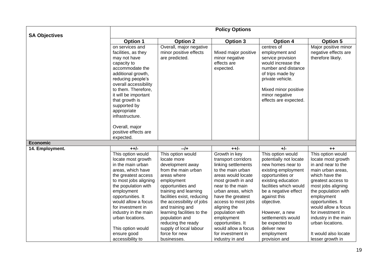|                      | <b>Policy Options</b>                                                                                                                                                                                                                                                                                                   |                                                                                                                                                                                                                                                                                                                                                        |                                                                                                                                                                                                                                                                                                                                      |                                                                                                                                                                                                                                                                                                          |                                                                                                                                                                                                                                                                                                                            |  |  |
|----------------------|-------------------------------------------------------------------------------------------------------------------------------------------------------------------------------------------------------------------------------------------------------------------------------------------------------------------------|--------------------------------------------------------------------------------------------------------------------------------------------------------------------------------------------------------------------------------------------------------------------------------------------------------------------------------------------------------|--------------------------------------------------------------------------------------------------------------------------------------------------------------------------------------------------------------------------------------------------------------------------------------------------------------------------------------|----------------------------------------------------------------------------------------------------------------------------------------------------------------------------------------------------------------------------------------------------------------------------------------------------------|----------------------------------------------------------------------------------------------------------------------------------------------------------------------------------------------------------------------------------------------------------------------------------------------------------------------------|--|--|
| <b>SA Objectives</b> | <b>Option 1</b>                                                                                                                                                                                                                                                                                                         | <b>Option 2</b>                                                                                                                                                                                                                                                                                                                                        | Option 3                                                                                                                                                                                                                                                                                                                             | <b>Option 4</b>                                                                                                                                                                                                                                                                                          | <b>Option 5</b>                                                                                                                                                                                                                                                                                                            |  |  |
|                      | on services and<br>facilities, as they<br>may not have<br>capacity to<br>accommodate the<br>additional growth,<br>reducing people's<br>overall accessibility<br>to them. Therefore,<br>it will be important<br>that growth is<br>supported by<br>appropriate<br>infrastructure.                                         | Overall, major negative<br>minor positive effects<br>are predicted.                                                                                                                                                                                                                                                                                    | Mixed major positive<br>minor negative<br>effects are<br>expected.                                                                                                                                                                                                                                                                   | centres of<br>employment and<br>service provision<br>would increase the<br>number and distance<br>of trips made by<br>private vehicle.<br>Mixed minor positive<br>minor negative<br>effects are expected.                                                                                                | Major positive minor<br>negative effects are<br>therefore likely.                                                                                                                                                                                                                                                          |  |  |
|                      | Overall, major<br>positive effects are<br>expected.                                                                                                                                                                                                                                                                     |                                                                                                                                                                                                                                                                                                                                                        |                                                                                                                                                                                                                                                                                                                                      |                                                                                                                                                                                                                                                                                                          |                                                                                                                                                                                                                                                                                                                            |  |  |
| <b>Economic</b>      |                                                                                                                                                                                                                                                                                                                         |                                                                                                                                                                                                                                                                                                                                                        |                                                                                                                                                                                                                                                                                                                                      |                                                                                                                                                                                                                                                                                                          |                                                                                                                                                                                                                                                                                                                            |  |  |
| 14. Employment.      | $++/-$                                                                                                                                                                                                                                                                                                                  | $-1+$                                                                                                                                                                                                                                                                                                                                                  | $+ +/-$                                                                                                                                                                                                                                                                                                                              | $+/-$                                                                                                                                                                                                                                                                                                    | $++$                                                                                                                                                                                                                                                                                                                       |  |  |
|                      | This option would<br>locate most growth<br>in the main urban<br>areas, which have<br>the greatest access<br>to most jobs aligning<br>the population with<br>employment<br>opportunities. It<br>would allow a focus<br>for investment in<br>industry in the main<br>urban locations.<br>This option would<br>ensure good | This option would<br>locate more<br>development away<br>from the main urban<br>areas where<br>employment<br>opportunities and<br>training and learning<br>facilities exist, reducing<br>the accessibility of jobs<br>and training and<br>learning facilities to the<br>population and<br>reducing the ready<br>supply of local labour<br>force for new | Growth in key<br>transport corridors<br>linking settlements<br>to the main urban<br>areas would locate<br>most growth in and<br>near to the main<br>urban areas, which<br>have the greatest<br>access to most jobs<br>aligning the<br>population with<br>employment<br>opportunities. It<br>would allow a focus<br>for investment in | This option would<br>potentially not locate<br>new homes near to<br>existing employment<br>opportunities or<br>existing education<br>facilities which would<br>be a negative effect<br>against this<br>objective.<br>However, a new<br>settlement/s would<br>be expected to<br>deliver new<br>employment | This option would<br>locate most growth<br>in and near to the<br>main urban areas,<br>which have the<br>greatest access to<br>most jobs aligning<br>the population with<br>employment<br>opportunities. It<br>would allow a focus<br>for investment in<br>industry in the main<br>urban locations.<br>It would also locate |  |  |
|                      | accessibility to                                                                                                                                                                                                                                                                                                        | businesses.                                                                                                                                                                                                                                                                                                                                            | industry in and                                                                                                                                                                                                                                                                                                                      | provision and                                                                                                                                                                                                                                                                                            | lesser growth in                                                                                                                                                                                                                                                                                                           |  |  |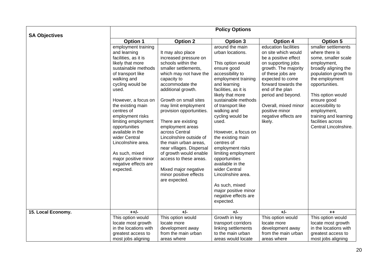|                      | <b>Policy Options</b>                                                                                                                                                                                                                                                                                                                                                                                                                   |                                                                                                                                                                                                                                                                                                                                                                                                                                                                                                                            |                                                                                                                                                                                                                                                                                                                                                                                                                                                                                                                                        |                                                                                                                                                                                                                                                                                                         |                                                                                                                                                                                                                                                                                                               |  |  |
|----------------------|-----------------------------------------------------------------------------------------------------------------------------------------------------------------------------------------------------------------------------------------------------------------------------------------------------------------------------------------------------------------------------------------------------------------------------------------|----------------------------------------------------------------------------------------------------------------------------------------------------------------------------------------------------------------------------------------------------------------------------------------------------------------------------------------------------------------------------------------------------------------------------------------------------------------------------------------------------------------------------|----------------------------------------------------------------------------------------------------------------------------------------------------------------------------------------------------------------------------------------------------------------------------------------------------------------------------------------------------------------------------------------------------------------------------------------------------------------------------------------------------------------------------------------|---------------------------------------------------------------------------------------------------------------------------------------------------------------------------------------------------------------------------------------------------------------------------------------------------------|---------------------------------------------------------------------------------------------------------------------------------------------------------------------------------------------------------------------------------------------------------------------------------------------------------------|--|--|
| <b>SA Objectives</b> | Option 1                                                                                                                                                                                                                                                                                                                                                                                                                                | <b>Option 2</b>                                                                                                                                                                                                                                                                                                                                                                                                                                                                                                            | Option 3                                                                                                                                                                                                                                                                                                                                                                                                                                                                                                                               | <b>Option 4</b>                                                                                                                                                                                                                                                                                         | <b>Option 5</b>                                                                                                                                                                                                                                                                                               |  |  |
|                      | employment training<br>and learning<br>facilities, as it is<br>likely that more<br>sustainable methods<br>of transport like<br>walking and<br>cycling would be<br>used.<br>However, a focus on<br>the existing main<br>centres of<br>employment risks<br>limiting employment<br>opportunities<br>available in the<br>wider Central<br>Lincolnshire area.<br>As such, mixed<br>major positive minor<br>negative effects are<br>expected. | It may also place<br>increased pressure on<br>schools within the<br>smaller settlements,<br>which may not have the<br>capacity to<br>accommodate the<br>additional growth.<br>Growth on small sites<br>may limit employment<br>provision opportunities.<br>There are existing<br>employment areas<br>across Central<br>Lincolnshire outside of<br>the main urban areas,<br>near villages. Dispersal<br>of growth would enable<br>access to these areas.<br>Mixed major negative<br>minor positive effects<br>are expected. | around the main<br>urban locations.<br>This option would<br>ensure good<br>accessibility to<br>employment training<br>and learning<br>facilities, as it is<br>likely that more<br>sustainable methods<br>of transport like<br>walking and<br>cycling would be<br>used.<br>However, a focus on<br>the existing main<br>centres of<br>employment risks<br>limiting employment<br>opportunities<br>available in the<br>wider Central<br>Lincolnshire area.<br>As such, mixed<br>major positive minor<br>negative effects are<br>expected. | education facilities<br>on site which would<br>be a positive effect<br>on supporting jobs<br>growth. The majority<br>of these jobs are<br>expected to come<br>forward towards the<br>end of the plan<br>period and beyond.<br>Overall, mixed minor<br>positive minor<br>negative effects are<br>likely. | smaller settlements<br>where there is<br>some, smaller scale<br>employment,<br>broadly aligning the<br>population growth to<br>the employment<br>opportunities.<br>This option would<br>ensure good<br>accessibility to<br>employment,<br>training and learning<br>facilities across<br>Central Lincolnshire. |  |  |
| 15. Local Economy.   | $+ +/-$                                                                                                                                                                                                                                                                                                                                                                                                                                 | $+/-$                                                                                                                                                                                                                                                                                                                                                                                                                                                                                                                      | $+/-$                                                                                                                                                                                                                                                                                                                                                                                                                                                                                                                                  | $+/-$                                                                                                                                                                                                                                                                                                   | $++$                                                                                                                                                                                                                                                                                                          |  |  |
|                      | This option would                                                                                                                                                                                                                                                                                                                                                                                                                       | This option would                                                                                                                                                                                                                                                                                                                                                                                                                                                                                                          | Growth in key                                                                                                                                                                                                                                                                                                                                                                                                                                                                                                                          | This option would                                                                                                                                                                                                                                                                                       | This option would                                                                                                                                                                                                                                                                                             |  |  |
|                      | locate most growth                                                                                                                                                                                                                                                                                                                                                                                                                      | locate more                                                                                                                                                                                                                                                                                                                                                                                                                                                                                                                | transport corridors                                                                                                                                                                                                                                                                                                                                                                                                                                                                                                                    | locate more                                                                                                                                                                                                                                                                                             | locate most growth                                                                                                                                                                                                                                                                                            |  |  |
|                      | in the locations with                                                                                                                                                                                                                                                                                                                                                                                                                   | development away                                                                                                                                                                                                                                                                                                                                                                                                                                                                                                           | linking settlements                                                                                                                                                                                                                                                                                                                                                                                                                                                                                                                    | development away                                                                                                                                                                                                                                                                                        | in the locations with                                                                                                                                                                                                                                                                                         |  |  |
|                      | greatest access to                                                                                                                                                                                                                                                                                                                                                                                                                      | from the main urban                                                                                                                                                                                                                                                                                                                                                                                                                                                                                                        | to the main urban                                                                                                                                                                                                                                                                                                                                                                                                                                                                                                                      | from the main urban                                                                                                                                                                                                                                                                                     | greatest access to                                                                                                                                                                                                                                                                                            |  |  |
|                      | most jobs aligning                                                                                                                                                                                                                                                                                                                                                                                                                      | areas where                                                                                                                                                                                                                                                                                                                                                                                                                                                                                                                | areas would locate                                                                                                                                                                                                                                                                                                                                                                                                                                                                                                                     | areas where                                                                                                                                                                                                                                                                                             | most jobs aligning                                                                                                                                                                                                                                                                                            |  |  |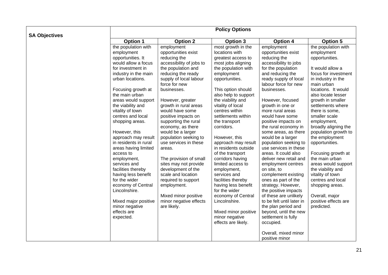|                      | <b>Policy Options</b>                                                                                                                                                                                                                                                                                           |                                                                                                                                                                                                                                                                                                                                              |                                                                                                                                                                                                                                                                                                                                |                                                                                                                                                                                                                                                                                                                                                                                                                                            |                                                                                                                                                                                                                                                                                                                              |  |
|----------------------|-----------------------------------------------------------------------------------------------------------------------------------------------------------------------------------------------------------------------------------------------------------------------------------------------------------------|----------------------------------------------------------------------------------------------------------------------------------------------------------------------------------------------------------------------------------------------------------------------------------------------------------------------------------------------|--------------------------------------------------------------------------------------------------------------------------------------------------------------------------------------------------------------------------------------------------------------------------------------------------------------------------------|--------------------------------------------------------------------------------------------------------------------------------------------------------------------------------------------------------------------------------------------------------------------------------------------------------------------------------------------------------------------------------------------------------------------------------------------|------------------------------------------------------------------------------------------------------------------------------------------------------------------------------------------------------------------------------------------------------------------------------------------------------------------------------|--|
|                      | <b>Option 1</b>                                                                                                                                                                                                                                                                                                 | <b>Option 2</b>                                                                                                                                                                                                                                                                                                                              | <b>Option 3</b>                                                                                                                                                                                                                                                                                                                | <b>Option 4</b>                                                                                                                                                                                                                                                                                                                                                                                                                            | <b>Option 5</b>                                                                                                                                                                                                                                                                                                              |  |
| <b>SA Objectives</b> | the population with<br>employment<br>opportunities. It<br>would allow a focus<br>for investment in<br>industry in the main<br>urban locations.<br>Focusing growth at<br>the main urban<br>areas would support<br>the viability and<br>vitality of town<br>centres and local<br>shopping areas.<br>However, this | employment<br>opportunities exist<br>reducing the<br>accessibility of jobs to<br>the population and<br>reducing the ready<br>supply of local labour<br>force for new<br>businesses.<br>However, greater<br>growth in rural areas<br>would have some<br>positive impacts on<br>supporting the rural<br>economy, as there<br>would be a larger | most growth in the<br>locations with<br>greatest access to<br>most jobs aligning<br>the population with<br>employment<br>opportunities.<br>This option should<br>also help to support<br>the viability and<br>vitality of local<br>centres within<br>settlements within<br>the transport<br>corridors.                         | employment<br>opportunities exist<br>reducing the<br>accessibility to jobs<br>for the population<br>and reducing the<br>ready supply of local<br>labour force for new<br>businesses.<br>However, focused<br>growth in one or<br>more rural areas<br>would have some<br>positive impacts on<br>the rural economy in<br>some areas, as there                                                                                                 | the population with<br>employment<br>opportunities.<br>It would allow a<br>focus for investment<br>in industry in the<br>main urban<br>locations. It would<br>also locate lesser<br>growth in smaller<br>settlements where<br>there is some,<br>smaller scale<br>employment,<br>broadly aligning the<br>population growth to |  |
|                      | approach may result<br>in residents in rural<br>areas having limited<br>access to<br>employment,<br>services and<br>facilities thereby<br>having less benefit<br>for the wider<br>economy of Central<br>Lincolnshire.<br>Mixed major positive<br>minor negative<br>effects are<br>expected.                     | population seeking to<br>use services in these<br>areas.<br>The provision of small<br>sites may not provide<br>development of the<br>scale and location<br>required to support<br>employment.<br>Mixed minor positive<br>minor negative effects<br>are likely.                                                                               | However, this<br>approach may result<br>in residents outside<br>of the transport<br>corridors having<br>limited access to<br>employment,<br>services and<br>facilities thereby<br>having less benefit<br>for the wider<br>economy of Central<br>Lincolnshire.<br>Mixed minor positive<br>minor negative<br>effects are likely. | would be a larger<br>population seeking to<br>use services in these<br>areas. It could also<br>deliver new retail and<br>employment centres<br>on site, to<br>complement existing<br>ones as part of the<br>strategy. However,<br>the positive impacts<br>of these are unlikely<br>to be felt until later in<br>the plan period and<br>beyond, until the new<br>settlement is fully<br>occupied.<br>Overall, mixed minor<br>positive minor | the employment<br>opportunities.<br>Focusing growth at<br>the main urban<br>areas would support<br>the viability and<br>vitality of town<br>centres and local<br>shopping areas.<br>Overall, major<br>positive effects are<br>predicted.                                                                                     |  |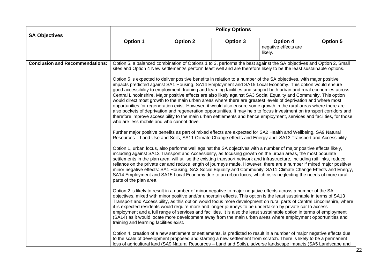|                                        | <b>Policy Options</b>                                                                                                                                                                                                                                                                                                                                                                                                                                                                                                                                                                                                                                                                                                                                                                                                                                                                                                                                                                                                                                                                                                                                                                                                                                                                                                                                                                                                                                                                                                                                                                                                                                                                                                                                   |                 |                 |                                                                                                                                                                                                                                                                                                                                                                   |                 |  |  |  |  |
|----------------------------------------|---------------------------------------------------------------------------------------------------------------------------------------------------------------------------------------------------------------------------------------------------------------------------------------------------------------------------------------------------------------------------------------------------------------------------------------------------------------------------------------------------------------------------------------------------------------------------------------------------------------------------------------------------------------------------------------------------------------------------------------------------------------------------------------------------------------------------------------------------------------------------------------------------------------------------------------------------------------------------------------------------------------------------------------------------------------------------------------------------------------------------------------------------------------------------------------------------------------------------------------------------------------------------------------------------------------------------------------------------------------------------------------------------------------------------------------------------------------------------------------------------------------------------------------------------------------------------------------------------------------------------------------------------------------------------------------------------------------------------------------------------------|-----------------|-----------------|-------------------------------------------------------------------------------------------------------------------------------------------------------------------------------------------------------------------------------------------------------------------------------------------------------------------------------------------------------------------|-----------------|--|--|--|--|
| <b>SA Objectives</b>                   | <b>Option 1</b>                                                                                                                                                                                                                                                                                                                                                                                                                                                                                                                                                                                                                                                                                                                                                                                                                                                                                                                                                                                                                                                                                                                                                                                                                                                                                                                                                                                                                                                                                                                                                                                                                                                                                                                                         | <b>Option 2</b> | <b>Option 3</b> | <b>Option 4</b>                                                                                                                                                                                                                                                                                                                                                   | <b>Option 5</b> |  |  |  |  |
|                                        |                                                                                                                                                                                                                                                                                                                                                                                                                                                                                                                                                                                                                                                                                                                                                                                                                                                                                                                                                                                                                                                                                                                                                                                                                                                                                                                                                                                                                                                                                                                                                                                                                                                                                                                                                         |                 |                 | negative effects are<br>likely.                                                                                                                                                                                                                                                                                                                                   |                 |  |  |  |  |
| <b>Conclusion and Recommendations:</b> |                                                                                                                                                                                                                                                                                                                                                                                                                                                                                                                                                                                                                                                                                                                                                                                                                                                                                                                                                                                                                                                                                                                                                                                                                                                                                                                                                                                                                                                                                                                                                                                                                                                                                                                                                         |                 |                 | Option 5, a balanced combination of Options 1 to 3, performs the best against the SA objectives and Option 2, Small<br>sites and Option 4 New settlement/s perform least well and are therefore likely to be the least sustainable options.                                                                                                                       |                 |  |  |  |  |
|                                        | Option 5 is expected to deliver positive benefits in relation to a number of the SA objectives, with major positive<br>impacts predicted against SA1 Housing, SA14 Employment and SA15 Local Economy. This option would ensure<br>good accessibility to employment, training and learning facilities and support both urban and rural economies across<br>Central Lincolnshire. Major positive effects are also likely against SA3 Social Equality and Community. This option<br>would direct most growth to the main urban areas where there are greatest levels of deprivation and where most<br>opportunities for regeneration exist. However, it would also ensure some growth in the rural areas where there are<br>also pockets of deprivation and regeneration opportunities. It may help to focus investment on transport corridors and<br>therefore improve accessibility to the main urban settlements and hence employment, services and facilities, for those<br>who are less mobile and who cannot drive.<br>Further major positive benefits as part of mixed effects are expected for SA2 Health and Wellbeing, SA9 Natural<br>Resources - Land Use and Soils, SA11 Climate Change effects and Energy and. SA13 Transport and Accessibility.<br>Option 1, urban focus, also performs well against the SA objectives with a number of major positive effects likely,<br>including against SA13 Transport and Accessibility, as focusing growth on the urban areas, the most populate<br>settlements in the plan area, will utilise the existing transport network and infrastructure, including rail links, reduce<br>reliance on the private car and reduce length of journeys made. However, there are a number if mixed major positive/ |                 |                 |                                                                                                                                                                                                                                                                                                                                                                   |                 |  |  |  |  |
|                                        | minor negative effects: SA1 Housing, SA3 Social Equality and Community, SA11 Climate Change Effects and Energy,<br>SA14 Employment and SA15 Local Economy due to an urban focus, which risks neglecting the needs of more rural<br>parts of the plan area.<br>Option 2 is likely to result in a number of minor negative to major negative effects across a number of the SA<br>objectives, mixed with minor positive and/or uncertain effects. This option is the least sustainable in terms of SA13<br>Transport and Accessibility, as this option would focus more development on rural parts of Central Lincolnshire, where<br>it is expected residents would require more and longer journeys to be undertaken by private car to access<br>employment and a full range of services and facilities. It is also the least sustainable option in terms of employment<br>(SA14) as it would locate more development away from the main urban areas where employment opportunities and<br>training and learning facilities exist.                                                                                                                                                                                                                                                                                                                                                                                                                                                                                                                                                                                                                                                                                                                       |                 |                 |                                                                                                                                                                                                                                                                                                                                                                   |                 |  |  |  |  |
|                                        |                                                                                                                                                                                                                                                                                                                                                                                                                                                                                                                                                                                                                                                                                                                                                                                                                                                                                                                                                                                                                                                                                                                                                                                                                                                                                                                                                                                                                                                                                                                                                                                                                                                                                                                                                         |                 |                 |                                                                                                                                                                                                                                                                                                                                                                   |                 |  |  |  |  |
|                                        |                                                                                                                                                                                                                                                                                                                                                                                                                                                                                                                                                                                                                                                                                                                                                                                                                                                                                                                                                                                                                                                                                                                                                                                                                                                                                                                                                                                                                                                                                                                                                                                                                                                                                                                                                         |                 |                 | Option 4, creation of a new settlement or settlements, is predicted to result in a number of major negative effects due<br>to the scale of development proposed and starting a new settlement from scratch. There is likely to be a permanent<br>loss of agricultural land (SA9 Natural Resources - Land and Soils), adverse landscape impacts (SA5 Landscape and |                 |  |  |  |  |